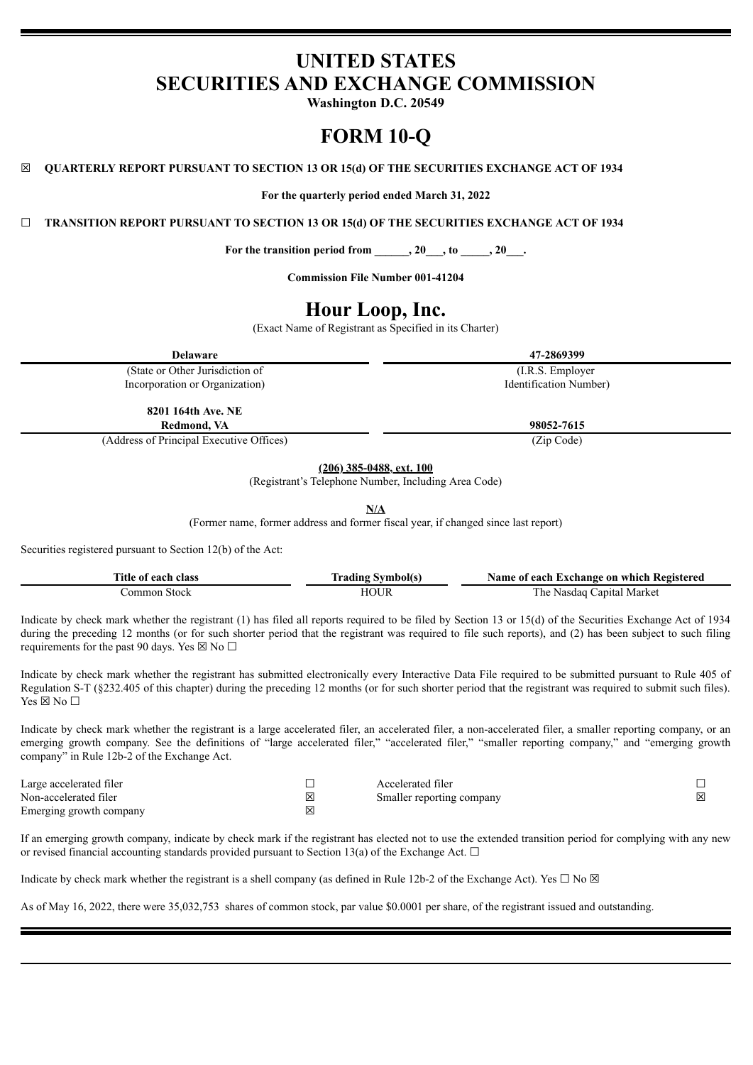# **UNITED STATES SECURITIES AND EXCHANGE COMMISSION**

**Washington D.C. 20549**

# **FORM 10-Q**

☒ **QUARTERLY REPORT PURSUANT TO SECTION 13 OR 15(d) OF THE SECURITIES EXCHANGE ACT OF 1934**

**For the quarterly period ended March 31, 2022**

☐ **TRANSITION REPORT PURSUANT TO SECTION 13 OR 15(d) OF THE SECURITIES EXCHANGE ACT OF 1934**

**For the transition period from \_\_\_\_\_\_, 20\_\_\_, to \_\_\_\_\_, 20\_\_\_.**

**Commission File Number 001-41204**

# **Hour Loop, Inc.**

(Exact Name of Registrant as Specified in its Charter)

**Delaware 47-2869399**

(State or Other Jurisdiction of Incorporation or Organization)

**8201 164th Ave. NE**

(Address of Principal Executive Offices) (Zip Code)

**(206) 385-0488, ext. 100**

(Registrant's Telephone Number, Including Area Code)

**N/A**

(Former name, former address and former fiscal year, if changed since last report)

Securities registered pursuant to Section 12(b) of the Act:

| ma s<br>. class<br>each<br>∡itle of ⊦ | symbol(s<br>l word | f each Exchange on which Registered<br>Name of |  |  |  |  |
|---------------------------------------|--------------------|------------------------------------------------|--|--|--|--|
| Stock<br>ommon                        | HOUI               | Market<br>Capital<br>1 he<br>Nasdag v          |  |  |  |  |

Indicate by check mark whether the registrant (1) has filed all reports required to be filed by Section 13 or 15(d) of the Securities Exchange Act of 1934 during the preceding 12 months (or for such shorter period that the registrant was required to file such reports), and (2) has been subject to such filing requirements for the past 90 days. Yes  $\boxtimes$  No  $\Box$ 

Indicate by check mark whether the registrant has submitted electronically every Interactive Data File required to be submitted pursuant to Rule 405 of Regulation S-T (§232.405 of this chapter) during the preceding 12 months (or for such shorter period that the registrant was required to submit such files). Yes  $\boxtimes$  No  $\square$ 

Indicate by check mark whether the registrant is a large accelerated filer, an accelerated filer, a non-accelerated filer, a smaller reporting company, or an emerging growth company. See the definitions of "large accelerated filer," "accelerated filer," "smaller reporting company," and "emerging growth company" in Rule 12b-2 of the Exchange Act.

| Large accelerated filer | Accelerated filer         |  |
|-------------------------|---------------------------|--|
| Non-accelerated filer   | Smaller reporting company |  |
| Emerging growth company |                           |  |

If an emerging growth company, indicate by check mark if the registrant has elected not to use the extended transition period for complying with any new or revised financial accounting standards provided pursuant to Section 13(a) of the Exchange Act.  $\Box$ 

Indicate by check mark whether the registrant is a shell company (as defined in Rule 12b-2 of the Exchange Act). Yes  $\Box$  No  $\boxtimes$ 

As of May 16, 2022, there were 35,032,753 shares of common stock, par value \$0.0001 per share, of the registrant issued and outstanding.

**Redmond, VA 98052-7615**

(I.R.S. Employer Identification Number)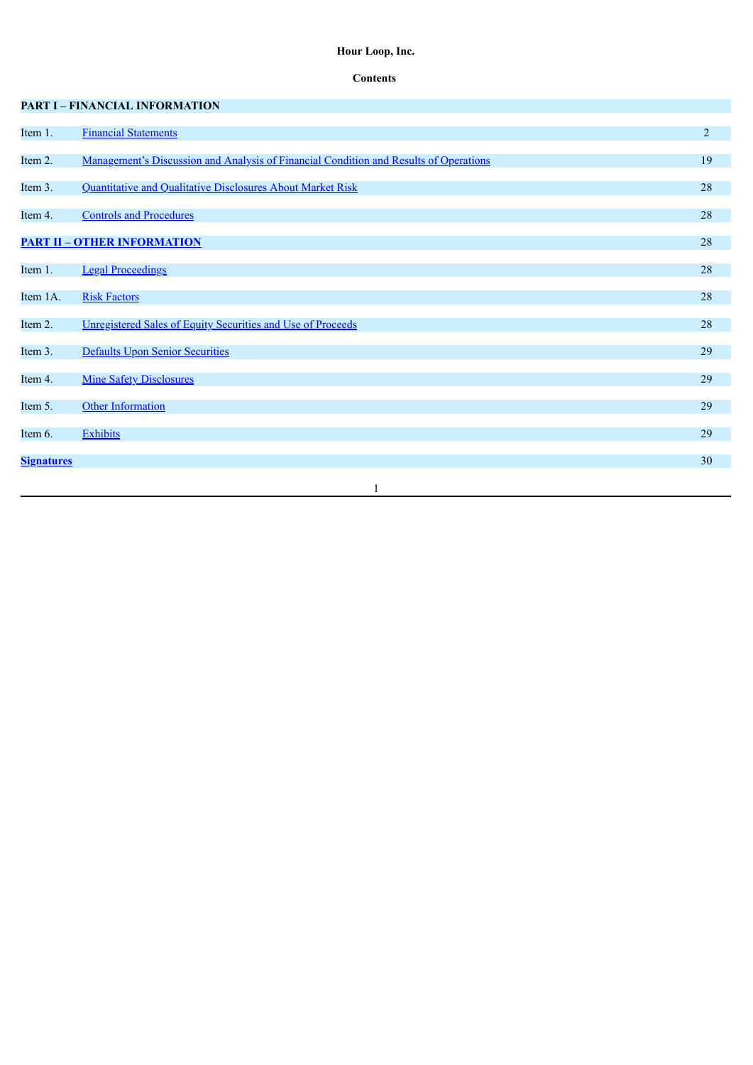# **Hour Loop, Inc.**

## **Contents**

|                   | <b>PART I - FINANCIAL INFORMATION</b>                                                 |                |
|-------------------|---------------------------------------------------------------------------------------|----------------|
|                   |                                                                                       |                |
| Item 1.           | <b>Financial Statements</b>                                                           | $\overline{2}$ |
| Item 2.           | Management's Discussion and Analysis of Financial Condition and Results of Operations | 19             |
| Item 3.           | Quantitative and Qualitative Disclosures About Market Risk                            | 28             |
| Item 4.           | <b>Controls and Procedures</b>                                                        | 28             |
|                   | <b>PART II - OTHER INFORMATION</b>                                                    | 28             |
| Item 1.           | <b>Legal Proceedings</b>                                                              | 28             |
| Item 1A.          | <b>Risk Factors</b>                                                                   | 28             |
| Item 2.           | Unregistered Sales of Equity Securities and Use of Proceeds                           | 28             |
| Item 3.           | <b>Defaults Upon Senior Securities</b>                                                | 29             |
| Item 4.           | <b>Mine Safety Disclosures</b>                                                        | 29             |
| Item 5.           | <b>Other Information</b>                                                              | 29             |
| Item 6.           | <b>Exhibits</b>                                                                       | 29             |
| <b>Signatures</b> |                                                                                       | 30             |
|                   | 1                                                                                     |                |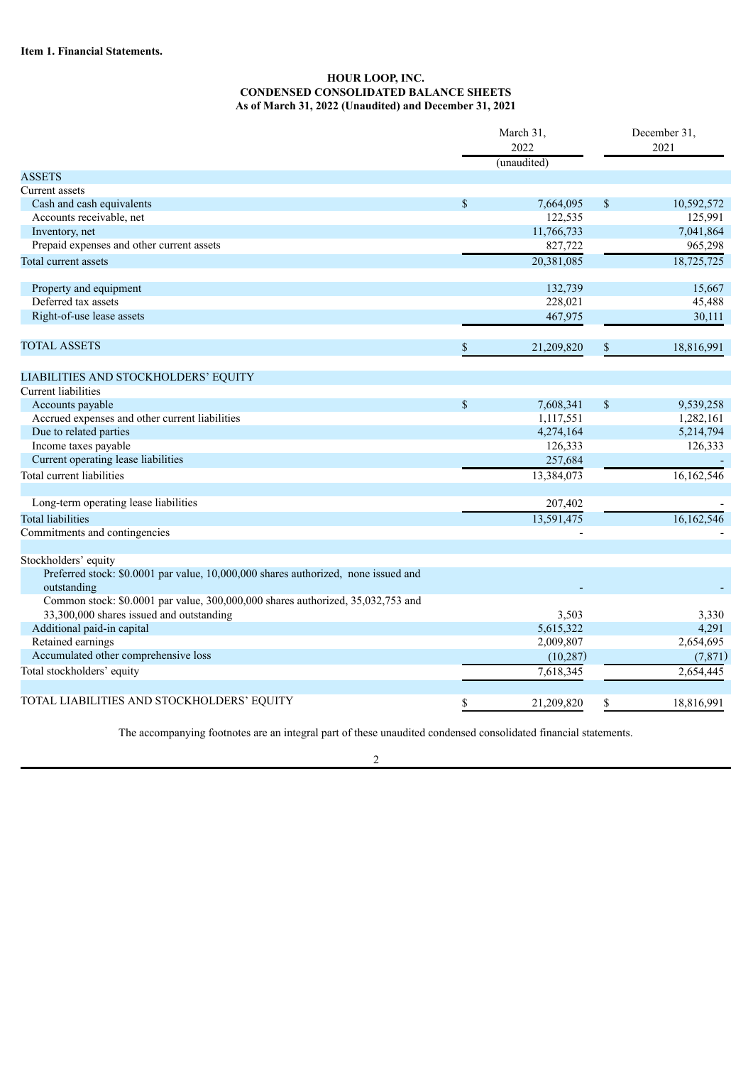## **HOUR LOOP, INC. CONDENSED CONSOLIDATED BALANCE SHEETS As of March 31, 2022 (Unaudited) and December 31, 2021**

<span id="page-2-0"></span>

|                                                                                                   | March 31,<br>2022 |             |              | December 31,<br>2021 |
|---------------------------------------------------------------------------------------------------|-------------------|-------------|--------------|----------------------|
|                                                                                                   |                   | (unaudited) |              |                      |
| <b>ASSETS</b>                                                                                     |                   |             |              |                      |
| Current assets                                                                                    |                   |             |              |                      |
| Cash and cash equivalents                                                                         | $\mathbf S$       | 7,664,095   | \$           | 10,592,572           |
| Accounts receivable, net                                                                          |                   | 122,535     |              | 125,991              |
| Inventory, net                                                                                    |                   | 11,766,733  |              | 7,041,864            |
| Prepaid expenses and other current assets                                                         |                   | 827,722     |              | 965,298              |
| Total current assets                                                                              |                   | 20,381,085  |              | 18,725,725           |
| Property and equipment                                                                            |                   | 132,739     |              | 15,667               |
| Deferred tax assets                                                                               |                   | 228,021     |              | 45,488               |
| Right-of-use lease assets                                                                         |                   | 467,975     |              | 30,111               |
| <b>TOTAL ASSETS</b>                                                                               | \$                | 21,209,820  | \$           | 18,816,991           |
| LIABILITIES AND STOCKHOLDERS' EQUITY                                                              |                   |             |              |                      |
| Current liabilities                                                                               |                   |             |              |                      |
| Accounts payable                                                                                  | \$                | 7,608,341   | $\mathbb{S}$ | 9,539,258            |
| Accrued expenses and other current liabilities                                                    |                   | 1,117,551   |              | 1,282,161            |
| Due to related parties                                                                            |                   | 4,274,164   |              | 5,214,794            |
| Income taxes payable                                                                              |                   | 126,333     |              | 126,333              |
| Current operating lease liabilities                                                               |                   | 257,684     |              |                      |
| Total current liabilities                                                                         |                   | 13,384,073  |              | 16,162,546           |
| Long-term operating lease liabilities                                                             |                   | 207,402     |              |                      |
| <b>Total liabilities</b>                                                                          |                   | 13,591,475  |              | 16,162,546           |
| Commitments and contingencies                                                                     |                   |             |              |                      |
| Stockholders' equity                                                                              |                   |             |              |                      |
| Preferred stock: \$0.0001 par value, 10,000,000 shares authorized, none issued and<br>outstanding |                   |             |              |                      |
| Common stock: \$0.0001 par value, 300,000,000 shares authorized, 35,032,753 and                   |                   |             |              |                      |
| 33,300,000 shares issued and outstanding                                                          |                   | 3,503       |              | 3,330                |
| Additional paid-in capital                                                                        |                   | 5,615,322   |              | 4,291                |
| Retained earnings                                                                                 |                   | 2,009,807   |              | 2,654,695            |
| Accumulated other comprehensive loss                                                              |                   | (10, 287)   |              | (7, 871)             |
| Total stockholders' equity                                                                        |                   | 7,618,345   |              | 2,654,445            |
| TOTAL LIABILITIES AND STOCKHOLDERS' EQUITY                                                        | \$                | 21,209,820  | \$           | 18,816,991           |

The accompanying footnotes are an integral part of these unaudited condensed consolidated financial statements.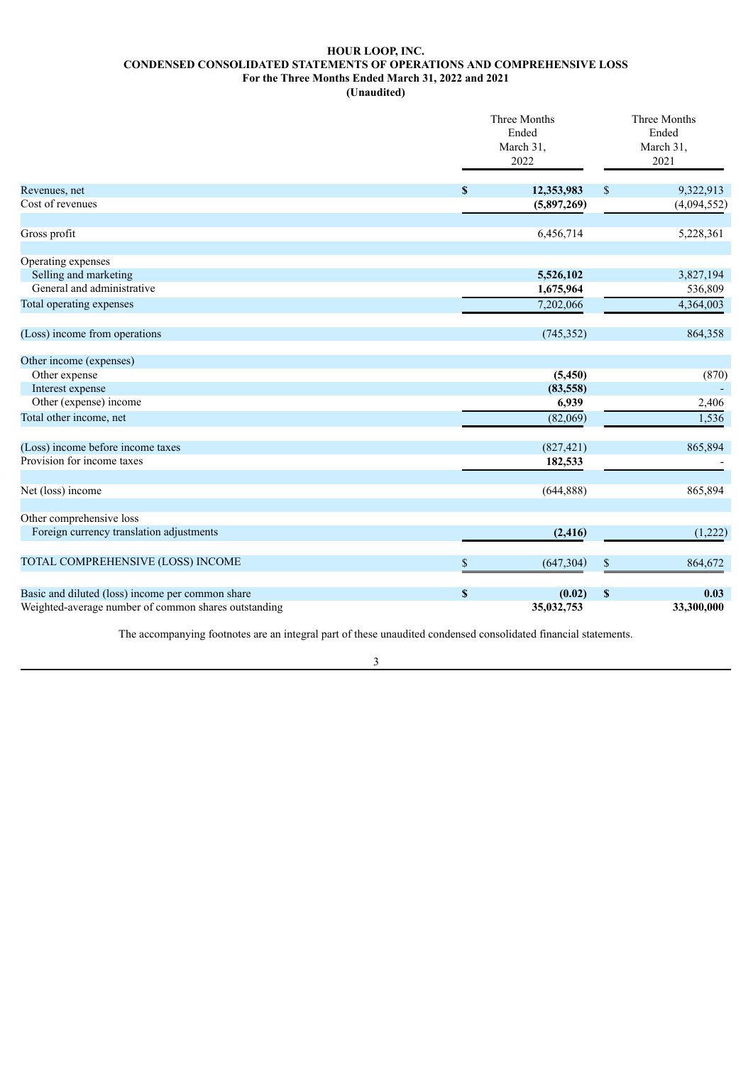## **HOUR LOOP, INC. CONDENSED CONSOLIDATED STATEMENTS OF OPERATIONS AND COMPREHENSIVE LOSS For the Three Months Ended March 31, 2022 and 2021 (Unaudited)**

|                                                      |              | Three Months<br>Ended<br>March 31,<br>2022 |                           |             |
|------------------------------------------------------|--------------|--------------------------------------------|---------------------------|-------------|
| Revenues, net                                        | $\mathbf{s}$ | 12,353,983                                 | $\mathbb{S}$              | 9,322,913   |
| Cost of revenues                                     |              | (5,897,269)                                |                           | (4,094,552) |
| Gross profit                                         |              | 6,456,714                                  |                           | 5,228,361   |
|                                                      |              |                                            |                           |             |
| Operating expenses                                   |              |                                            |                           |             |
| Selling and marketing                                |              | 5,526,102                                  |                           | 3,827,194   |
| General and administrative                           |              | 1,675,964                                  |                           | 536,809     |
| Total operating expenses                             |              | 7,202,066                                  |                           | 4,364,003   |
| (Loss) income from operations                        |              | (745, 352)                                 |                           | 864,358     |
| Other income (expenses)                              |              |                                            |                           |             |
| Other expense                                        |              | (5, 450)                                   |                           | (870)       |
| Interest expense                                     |              | (83, 558)                                  |                           |             |
| Other (expense) income                               |              | 6,939                                      |                           | 2,406       |
| Total other income, net                              |              | (82,069)                                   |                           | 1,536       |
| (Loss) income before income taxes                    |              | (827, 421)                                 |                           | 865,894     |
| Provision for income taxes                           |              | 182,533                                    |                           |             |
| Net (loss) income                                    |              | (644, 888)                                 |                           | 865,894     |
| Other comprehensive loss                             |              |                                            |                           |             |
| Foreign currency translation adjustments             |              | (2, 416)                                   |                           | (1,222)     |
| TOTAL COMPREHENSIVE (LOSS) INCOME                    | \$           | (647, 304)                                 | \$                        | 864,672     |
| Basic and diluted (loss) income per common share     | $\mathbf S$  | (0.02)                                     | $\boldsymbol{\mathsf{S}}$ | 0.03        |
| Weighted-average number of common shares outstanding |              | 35,032,753                                 |                           | 33,300,000  |

The accompanying footnotes are an integral part of these unaudited condensed consolidated financial statements.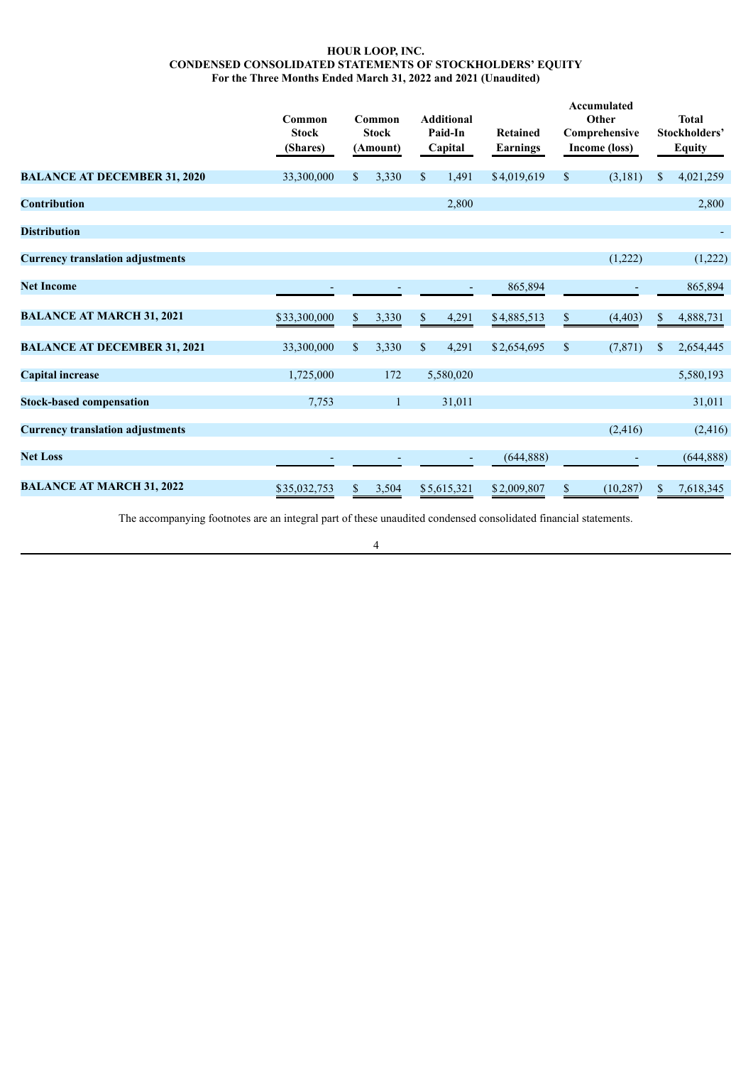## **HOUR LOOP, INC. CONDENSED CONSOLIDATED STATEMENTS OF STOCKHOLDERS' EQUITY For the Three Months Ended March 31, 2022 and 2021 (Unaudited)**

|                                         | Common<br><b>Stock</b><br>(Shares) | Common<br><b>Stock</b><br>(Amount) |              | <b>Additional</b><br>Paid-In<br>Capital | <b>Retained</b><br>Earnings |              | Accumulated<br>Other<br>Comprehensive<br>Income (loss) |               | <b>Total</b><br>Stockholders'<br><b>Equity</b> |
|-----------------------------------------|------------------------------------|------------------------------------|--------------|-----------------------------------------|-----------------------------|--------------|--------------------------------------------------------|---------------|------------------------------------------------|
| <b>BALANCE AT DECEMBER 31, 2020</b>     | 33,300,000                         | \$<br>3,330                        | $\mathbb{S}$ | 1,491                                   | \$4,019,619                 | $\mathbb{S}$ | (3,181)                                                | $\mathcal{S}$ | 4,021,259                                      |
| <b>Contribution</b>                     |                                    |                                    |              | 2,800                                   |                             |              |                                                        |               | 2,800                                          |
| <b>Distribution</b>                     |                                    |                                    |              |                                         |                             |              |                                                        |               |                                                |
| <b>Currency translation adjustments</b> |                                    |                                    |              |                                         |                             |              | (1,222)                                                |               | (1,222)                                        |
| <b>Net Income</b>                       |                                    |                                    |              | ٠                                       | 865,894                     |              | $\qquad \qquad \blacksquare$                           |               | 865,894                                        |
| <b>BALANCE AT MARCH 31, 2021</b>        | \$33,300,000                       | \$<br>3,330                        | $\$$         | 4,291                                   | \$4,885,513                 | \$           | (4, 403)                                               | \$            | 4,888,731                                      |
| <b>BALANCE AT DECEMBER 31, 2021</b>     | 33,300,000                         | \$<br>3,330                        | $\mathbb{S}$ | 4,291                                   | \$2,654,695                 | $\mathbb{S}$ | (7, 871)                                               | $\mathcal{S}$ | 2,654,445                                      |
| <b>Capital increase</b>                 | 1,725,000                          | 172                                |              | 5,580,020                               |                             |              |                                                        |               | 5,580,193                                      |
| <b>Stock-based compensation</b>         | 7,753                              | 1                                  |              | 31,011                                  |                             |              |                                                        |               | 31,011                                         |
| <b>Currency translation adjustments</b> |                                    |                                    |              |                                         |                             |              | (2, 416)                                               |               | (2, 416)                                       |
| <b>Net Loss</b>                         |                                    |                                    |              |                                         | (644,888)                   |              |                                                        |               | (644,888)                                      |
| <b>BALANCE AT MARCH 31, 2022</b>        | \$35,032,753                       | \$<br>3,504                        |              | \$5,615,321                             | \$2,009,807                 | \$           | (10, 287)                                              | \$            | 7,618,345                                      |

The accompanying footnotes are an integral part of these unaudited condensed consolidated financial statements.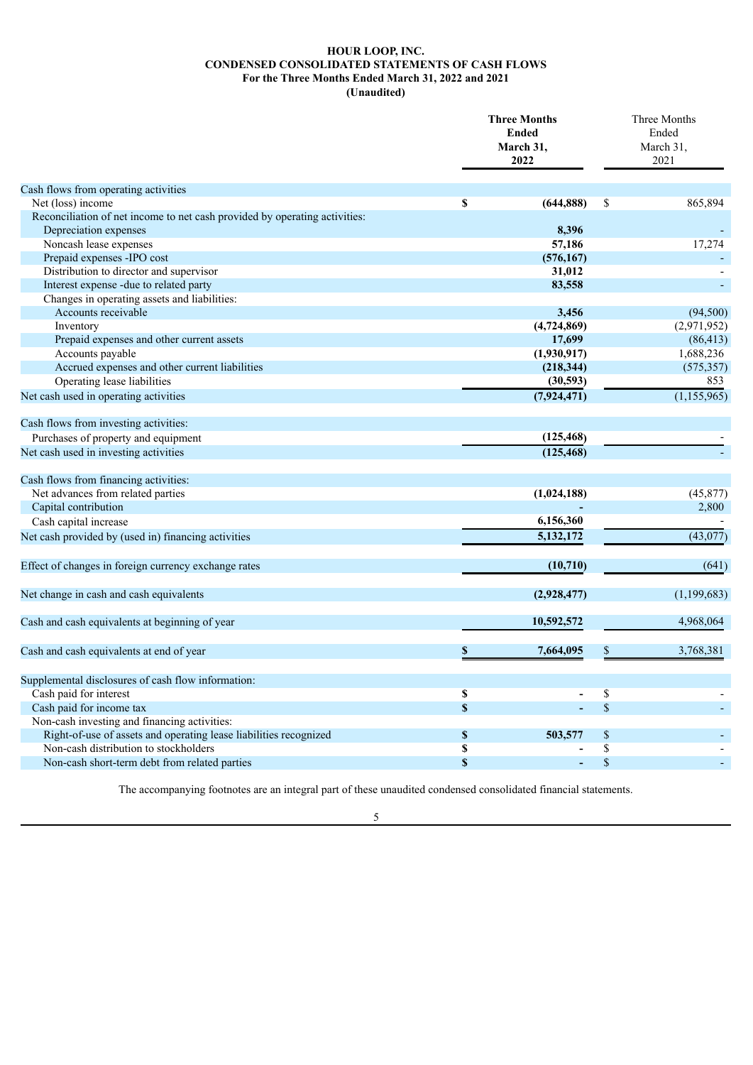## **HOUR LOOP, INC. CONDENSED CONSOLIDATED STATEMENTS OF CASH FLOWS For the Three Months Ended March 31, 2022 and 2021 (Unaudited)**

|                                                                            |                           | <b>Three Months</b><br><b>Ended</b><br>March 31,<br>2022 | Three Months<br>Ended<br>March 31,<br>2021 |             |  |
|----------------------------------------------------------------------------|---------------------------|----------------------------------------------------------|--------------------------------------------|-------------|--|
| Cash flows from operating activities                                       |                           |                                                          |                                            |             |  |
| Net (loss) income                                                          | \$                        | (644, 888)                                               | \$                                         | 865,894     |  |
| Reconciliation of net income to net cash provided by operating activities: |                           |                                                          |                                            |             |  |
| Depreciation expenses                                                      |                           | 8,396                                                    |                                            |             |  |
| Noncash lease expenses                                                     |                           | 57,186                                                   |                                            | 17,274      |  |
| Prepaid expenses -IPO cost                                                 |                           | (576, 167)                                               |                                            |             |  |
| Distribution to director and supervisor                                    |                           | 31,012                                                   |                                            |             |  |
| Interest expense -due to related party                                     |                           | 83,558                                                   |                                            |             |  |
| Changes in operating assets and liabilities:                               |                           |                                                          |                                            |             |  |
| Accounts receivable                                                        |                           | 3,456                                                    |                                            | (94, 500)   |  |
| Inventory                                                                  |                           | (4, 724, 869)                                            |                                            | (2,971,952) |  |
| Prepaid expenses and other current assets                                  |                           | 17,699                                                   |                                            | (86, 413)   |  |
| Accounts payable                                                           |                           | (1,930,917)                                              |                                            | 1,688,236   |  |
| Accrued expenses and other current liabilities                             |                           | (218, 344)                                               |                                            | (575, 357)  |  |
| Operating lease liabilities                                                |                           | (30,593)                                                 |                                            | 853         |  |
| Net cash used in operating activities                                      |                           | (7, 924, 471)                                            |                                            | (1,155,965) |  |
| Cash flows from investing activities:                                      |                           |                                                          |                                            |             |  |
| Purchases of property and equipment                                        |                           | (125, 468)                                               |                                            |             |  |
| Net cash used in investing activities                                      |                           | (125, 468)                                               |                                            |             |  |
| Cash flows from financing activities:                                      |                           |                                                          |                                            |             |  |
| Net advances from related parties                                          |                           | (1,024,188)                                              |                                            | (45, 877)   |  |
| Capital contribution                                                       |                           |                                                          |                                            | 2,800       |  |
| Cash capital increase                                                      |                           | 6,156,360                                                |                                            |             |  |
| Net cash provided by (used in) financing activities                        |                           | 5,132,172                                                |                                            | (43,077)    |  |
| Effect of changes in foreign currency exchange rates                       |                           | (10, 710)                                                |                                            | (641)       |  |
| Net change in cash and cash equivalents                                    |                           | (2,928,477)                                              |                                            | (1,199,683) |  |
| Cash and cash equivalents at beginning of year                             |                           | 10,592,572                                               |                                            | 4,968,064   |  |
| Cash and cash equivalents at end of year                                   | \$                        | 7,664,095                                                | $\$$                                       | 3,768,381   |  |
| Supplemental disclosures of cash flow information:                         |                           |                                                          |                                            |             |  |
| Cash paid for interest                                                     | \$                        | $\overline{\phantom{a}}$                                 | \$                                         |             |  |
| Cash paid for income tax                                                   | $\mathbb S$               |                                                          | $\mathbb{S}$                               |             |  |
| Non-cash investing and financing activities:                               |                           |                                                          |                                            |             |  |
| Right-of-use of assets and operating lease liabilities recognized          | $\boldsymbol{\mathbb{S}}$ | 503,577                                                  | $\$$                                       |             |  |
| Non-cash distribution to stockholders                                      | \$                        |                                                          | \$                                         |             |  |
| Non-cash short-term debt from related parties                              | $\mathbf S$               | $\blacksquare$                                           | $\mathbb{S}$                               |             |  |

The accompanying footnotes are an integral part of these unaudited condensed consolidated financial statements.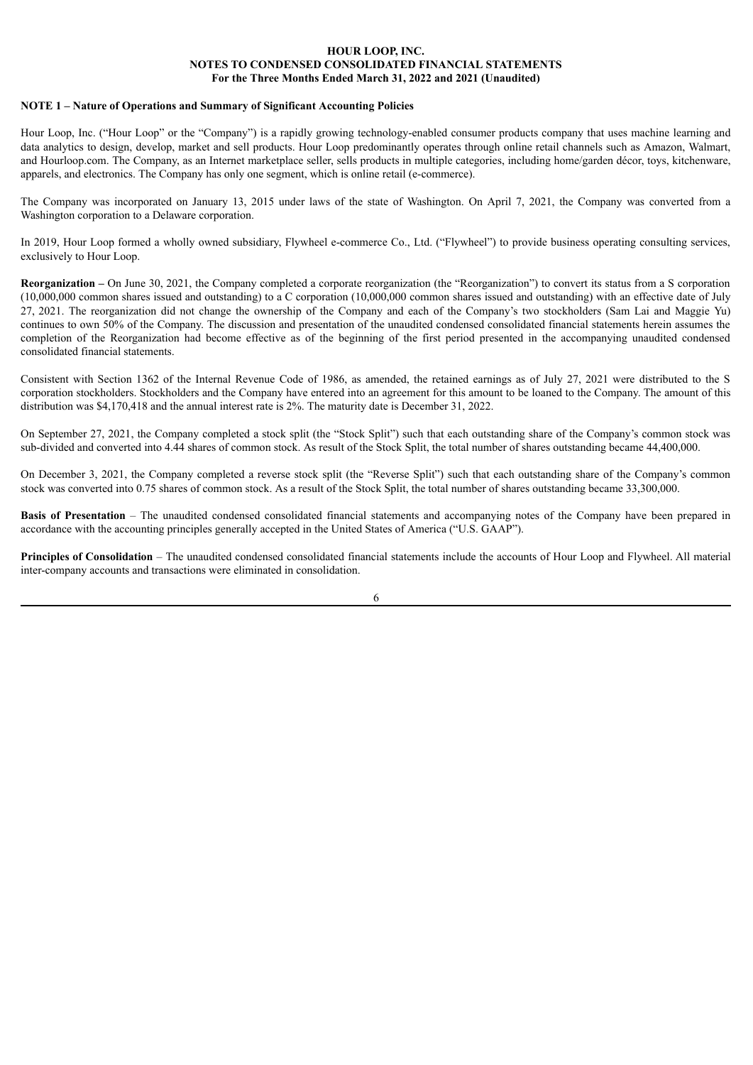#### **NOTE 1 – Nature of Operations and Summary of Significant Accounting Policies**

Hour Loop, Inc. ("Hour Loop" or the "Company") is a rapidly growing technology-enabled consumer products company that uses machine learning and data analytics to design, develop, market and sell products. Hour Loop predominantly operates through online retail channels such as Amazon, Walmart, and Hourloop.com. The Company, as an Internet marketplace seller, sells products in multiple categories, including home/garden décor, toys, kitchenware, apparels, and electronics. The Company has only one segment, which is online retail (e-commerce).

The Company was incorporated on January 13, 2015 under laws of the state of Washington. On April 7, 2021, the Company was converted from a Washington corporation to a Delaware corporation.

In 2019, Hour Loop formed a wholly owned subsidiary, Flywheel e-commerce Co., Ltd. ("Flywheel") to provide business operating consulting services, exclusively to Hour Loop.

**Reorganization** – On June 30, 2021, the Company completed a corporate reorganization (the "Reorganization") to convert its status from a S corporation (10,000,000 common shares issued and outstanding) to a C corporation (10,000,000 common shares issued and outstanding) with an effective date of July 27, 2021. The reorganization did not change the ownership of the Company and each of the Company's two stockholders (Sam Lai and Maggie Yu) continues to own 50% of the Company. The discussion and presentation of the unaudited condensed consolidated financial statements herein assumes the completion of the Reorganization had become effective as of the beginning of the first period presented in the accompanying unaudited condensed consolidated financial statements.

Consistent with Section 1362 of the Internal Revenue Code of 1986, as amended, the retained earnings as of July 27, 2021 were distributed to the S corporation stockholders. Stockholders and the Company have entered into an agreement for this amount to be loaned to the Company. The amount of this distribution was \$4,170,418 and the annual interest rate is 2%. The maturity date is December 31, 2022.

On September 27, 2021, the Company completed a stock split (the "Stock Split") such that each outstanding share of the Company's common stock was sub-divided and converted into 4.44 shares of common stock. As result of the Stock Split, the total number of shares outstanding became 44,400,000.

On December 3, 2021, the Company completed a reverse stock split (the "Reverse Split") such that each outstanding share of the Company's common stock was converted into 0.75 shares of common stock. As a result of the Stock Split, the total number of shares outstanding became 33,300,000.

**Basis of Presentation** – The unaudited condensed consolidated financial statements and accompanying notes of the Company have been prepared in accordance with the accounting principles generally accepted in the United States of America ("U.S. GAAP").

**Principles of Consolidation** – The unaudited condensed consolidated financial statements include the accounts of Hour Loop and Flywheel. All material inter-company accounts and transactions were eliminated in consolidation.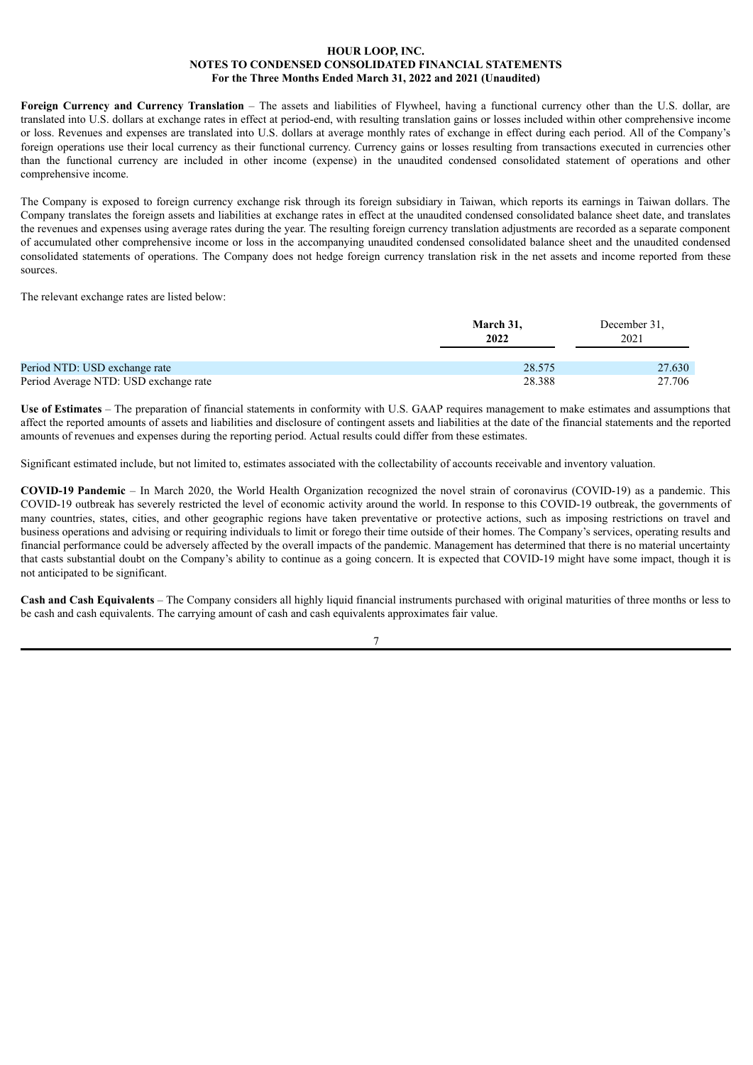**Foreign Currency and Currency Translation** – The assets and liabilities of Flywheel, having a functional currency other than the U.S. dollar, are translated into U.S. dollars at exchange rates in effect at period-end, with resulting translation gains or losses included within other comprehensive income or loss. Revenues and expenses are translated into U.S. dollars at average monthly rates of exchange in effect during each period. All of the Company's foreign operations use their local currency as their functional currency. Currency gains or losses resulting from transactions executed in currencies other than the functional currency are included in other income (expense) in the unaudited condensed consolidated statement of operations and other comprehensive income.

The Company is exposed to foreign currency exchange risk through its foreign subsidiary in Taiwan, which reports its earnings in Taiwan dollars. The Company translates the foreign assets and liabilities at exchange rates in effect at the unaudited condensed consolidated balance sheet date, and translates the revenues and expenses using average rates during the year. The resulting foreign currency translation adjustments are recorded as a separate component of accumulated other comprehensive income or loss in the accompanying unaudited condensed consolidated balance sheet and the unaudited condensed consolidated statements of operations. The Company does not hedge foreign currency translation risk in the net assets and income reported from these sources.

The relevant exchange rates are listed below:

|                                       | March 31,<br>2022 | December 31.<br>2021 |
|---------------------------------------|-------------------|----------------------|
| Period NTD: USD exchange rate         | 28.575            | 27.630               |
| Period Average NTD: USD exchange rate | 28.388            | 27.706               |

**Use of Estimates** – The preparation of financial statements in conformity with U.S. GAAP requires management to make estimates and assumptions that affect the reported amounts of assets and liabilities and disclosure of contingent assets and liabilities at the date of the financial statements and the reported amounts of revenues and expenses during the reporting period. Actual results could differ from these estimates.

Significant estimated include, but not limited to, estimates associated with the collectability of accounts receivable and inventory valuation.

**COVID-19 Pandemic** – In March 2020, the World Health Organization recognized the novel strain of coronavirus (COVID-19) as a pandemic. This COVID-19 outbreak has severely restricted the level of economic activity around the world. In response to this COVID-19 outbreak, the governments of many countries, states, cities, and other geographic regions have taken preventative or protective actions, such as imposing restrictions on travel and business operations and advising or requiring individuals to limit or forego their time outside of their homes. The Company's services, operating results and financial performance could be adversely affected by the overall impacts of the pandemic. Management has determined that there is no material uncertainty that casts substantial doubt on the Company's ability to continue as a going concern. It is expected that COVID-19 might have some impact, though it is not anticipated to be significant.

**Cash and Cash Equivalents** – The Company considers all highly liquid financial instruments purchased with original maturities of three months or less to be cash and cash equivalents. The carrying amount of cash and cash equivalents approximates fair value.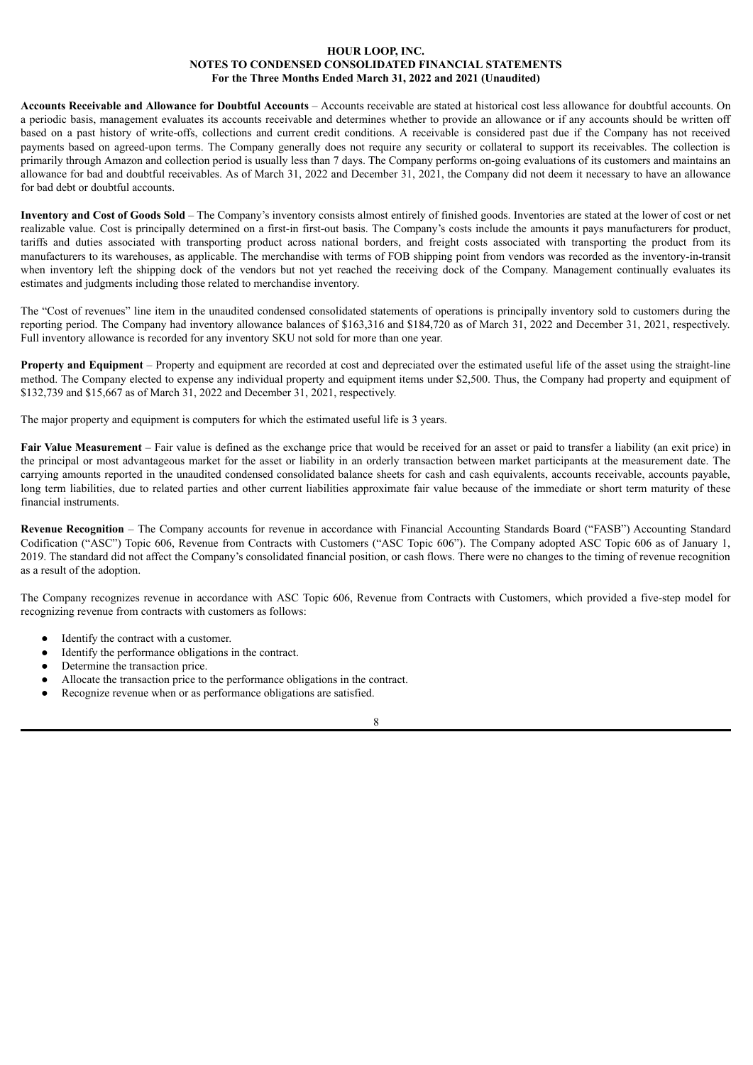**Accounts Receivable and Allowance for Doubtful Accounts** – Accounts receivable are stated at historical cost less allowance for doubtful accounts. On a periodic basis, management evaluates its accounts receivable and determines whether to provide an allowance or if any accounts should be written off based on a past history of write-offs, collections and current credit conditions. A receivable is considered past due if the Company has not received payments based on agreed-upon terms. The Company generally does not require any security or collateral to support its receivables. The collection is primarily through Amazon and collection period is usually less than 7 days. The Company performs on-going evaluations of its customers and maintains an allowance for bad and doubtful receivables. As of March 31, 2022 and December 31, 2021, the Company did not deem it necessary to have an allowance for bad debt or doubtful accounts.

**Inventory and Cost of Goods Sold** – The Company's inventory consists almost entirely of finished goods. Inventories are stated at the lower of cost or net realizable value. Cost is principally determined on a first-in first-out basis. The Company's costs include the amounts it pays manufacturers for product, tariffs and duties associated with transporting product across national borders, and freight costs associated with transporting the product from its manufacturers to its warehouses, as applicable. The merchandise with terms of FOB shipping point from vendors was recorded as the inventory-in-transit when inventory left the shipping dock of the vendors but not yet reached the receiving dock of the Company. Management continually evaluates its estimates and judgments including those related to merchandise inventory.

The "Cost of revenues" line item in the unaudited condensed consolidated statements of operations is principally inventory sold to customers during the reporting period. The Company had inventory allowance balances of \$163,316 and \$184,720 as of March 31, 2022 and December 31, 2021, respectively. Full inventory allowance is recorded for any inventory SKU not sold for more than one year.

**Property and Equipment** – Property and equipment are recorded at cost and depreciated over the estimated useful life of the asset using the straight-line method. The Company elected to expense any individual property and equipment items under \$2,500. Thus, the Company had property and equipment of \$132,739 and \$15,667 as of March 31, 2022 and December 31, 2021, respectively.

The major property and equipment is computers for which the estimated useful life is 3 years.

**Fair Value Measurement** – Fair value is defined as the exchange price that would be received for an asset or paid to transfer a liability (an exit price) in the principal or most advantageous market for the asset or liability in an orderly transaction between market participants at the measurement date. The carrying amounts reported in the unaudited condensed consolidated balance sheets for cash and cash equivalents, accounts receivable, accounts payable, long term liabilities, due to related parties and other current liabilities approximate fair value because of the immediate or short term maturity of these financial instruments.

**Revenue Recognition** – The Company accounts for revenue in accordance with Financial Accounting Standards Board ("FASB") Accounting Standard Codification ("ASC") Topic 606, Revenue from Contracts with Customers ("ASC Topic 606"). The Company adopted ASC Topic 606 as of January 1, 2019. The standard did not affect the Company's consolidated financial position, or cash flows. There were no changes to the timing of revenue recognition as a result of the adoption.

The Company recognizes revenue in accordance with ASC Topic 606, Revenue from Contracts with Customers, which provided a five-step model for recognizing revenue from contracts with customers as follows:

- Identify the contract with a customer.
- Identify the performance obligations in the contract.
- Determine the transaction price.
- Allocate the transaction price to the performance obligations in the contract.
- Recognize revenue when or as performance obligations are satisfied.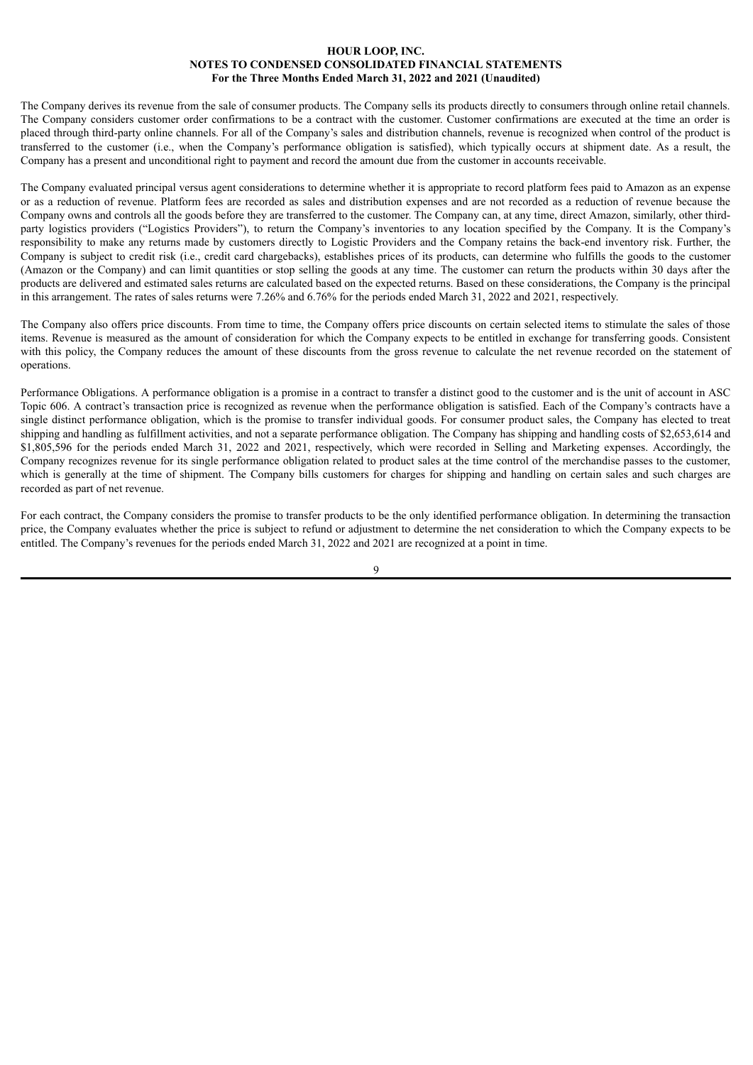The Company derives its revenue from the sale of consumer products. The Company sells its products directly to consumers through online retail channels. The Company considers customer order confirmations to be a contract with the customer. Customer confirmations are executed at the time an order is placed through third-party online channels. For all of the Company's sales and distribution channels, revenue is recognized when control of the product is transferred to the customer (i.e., when the Company's performance obligation is satisfied), which typically occurs at shipment date. As a result, the Company has a present and unconditional right to payment and record the amount due from the customer in accounts receivable.

The Company evaluated principal versus agent considerations to determine whether it is appropriate to record platform fees paid to Amazon as an expense or as a reduction of revenue. Platform fees are recorded as sales and distribution expenses and are not recorded as a reduction of revenue because the Company owns and controls all the goods before they are transferred to the customer. The Company can, at any time, direct Amazon, similarly, other thirdparty logistics providers ("Logistics Providers"), to return the Company's inventories to any location specified by the Company. It is the Company's responsibility to make any returns made by customers directly to Logistic Providers and the Company retains the back-end inventory risk. Further, the Company is subject to credit risk (i.e., credit card chargebacks), establishes prices of its products, can determine who fulfills the goods to the customer (Amazon or the Company) and can limit quantities or stop selling the goods at any time. The customer can return the products within 30 days after the products are delivered and estimated sales returns are calculated based on the expected returns. Based on these considerations, the Company is the principal in this arrangement. The rates of sales returns were 7.26% and 6.76% for the periods ended March 31, 2022 and 2021, respectively.

The Company also offers price discounts. From time to time, the Company offers price discounts on certain selected items to stimulate the sales of those items. Revenue is measured as the amount of consideration for which the Company expects to be entitled in exchange for transferring goods. Consistent with this policy, the Company reduces the amount of these discounts from the gross revenue to calculate the net revenue recorded on the statement of operations.

Performance Obligations. A performance obligation is a promise in a contract to transfer a distinct good to the customer and is the unit of account in ASC Topic 606. A contract's transaction price is recognized as revenue when the performance obligation is satisfied. Each of the Company's contracts have a single distinct performance obligation, which is the promise to transfer individual goods. For consumer product sales, the Company has elected to treat shipping and handling as fulfillment activities, and not a separate performance obligation. The Company has shipping and handling costs of \$2,653,614 and \$1,805,596 for the periods ended March 31, 2022 and 2021, respectively, which were recorded in Selling and Marketing expenses. Accordingly, the Company recognizes revenue for its single performance obligation related to product sales at the time control of the merchandise passes to the customer, which is generally at the time of shipment. The Company bills customers for charges for shipping and handling on certain sales and such charges are recorded as part of net revenue.

For each contract, the Company considers the promise to transfer products to be the only identified performance obligation. In determining the transaction price, the Company evaluates whether the price is subject to refund or adjustment to determine the net consideration to which the Company expects to be entitled. The Company's revenues for the periods ended March 31, 2022 and 2021 are recognized at a point in time.

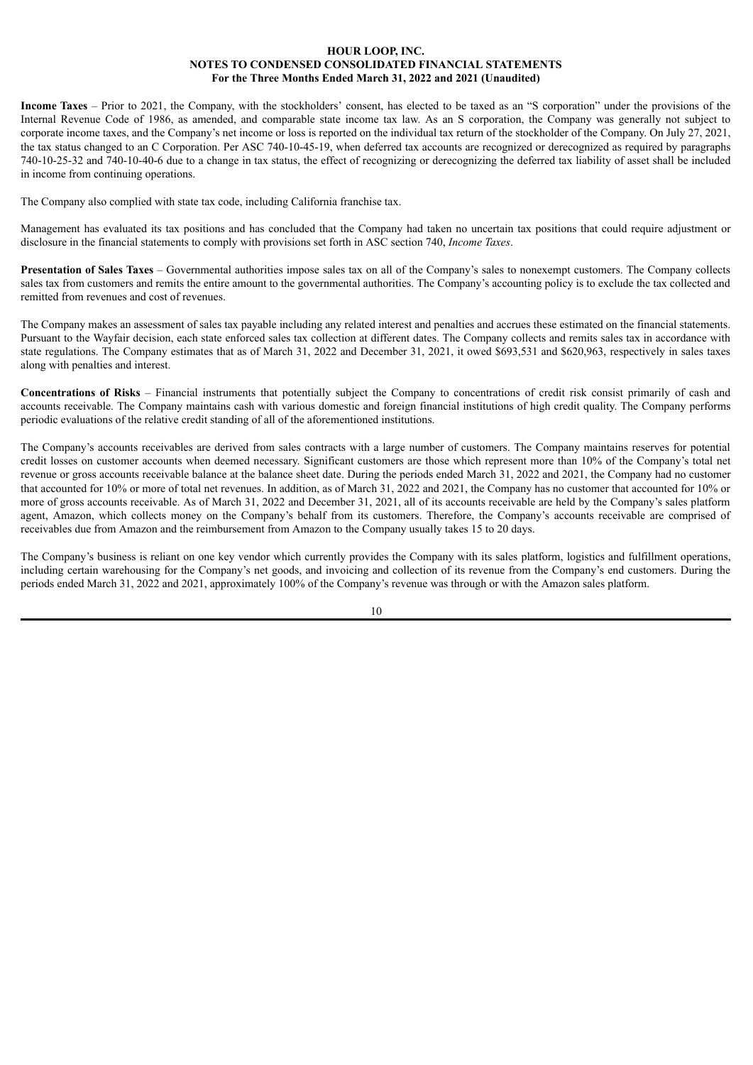**Income Taxes** – Prior to 2021, the Company, with the stockholders' consent, has elected to be taxed as an "S corporation" under the provisions of the Internal Revenue Code of 1986, as amended, and comparable state income tax law. As an S corporation, the Company was generally not subject to corporate income taxes, and the Company's net income or loss is reported on the individual tax return of the stockholder of the Company. On July 27, 2021, the tax status changed to an C Corporation. Per ASC 740-10-45-19, when deferred tax accounts are recognized or derecognized as required by paragraphs 740-10-25-32 and 740-10-40-6 due to a change in tax status, the effect of recognizing or derecognizing the deferred tax liability of asset shall be included in income from continuing operations.

The Company also complied with state tax code, including California franchise tax.

Management has evaluated its tax positions and has concluded that the Company had taken no uncertain tax positions that could require adjustment or disclosure in the financial statements to comply with provisions set forth in ASC section 740, *Income Taxes*.

**Presentation of Sales Taxes** – Governmental authorities impose sales tax on all of the Company's sales to nonexempt customers. The Company collects sales tax from customers and remits the entire amount to the governmental authorities. The Company's accounting policy is to exclude the tax collected and remitted from revenues and cost of revenues.

The Company makes an assessment of sales tax payable including any related interest and penalties and accrues these estimated on the financial statements. Pursuant to the Wayfair decision, each state enforced sales tax collection at different dates. The Company collects and remits sales tax in accordance with state regulations. The Company estimates that as of March 31, 2022 and December 31, 2021, it owed \$693,531 and \$620,963, respectively in sales taxes along with penalties and interest.

**Concentrations of Risks** – Financial instruments that potentially subject the Company to concentrations of credit risk consist primarily of cash and accounts receivable. The Company maintains cash with various domestic and foreign financial institutions of high credit quality. The Company performs periodic evaluations of the relative credit standing of all of the aforementioned institutions.

The Company's accounts receivables are derived from sales contracts with a large number of customers. The Company maintains reserves for potential credit losses on customer accounts when deemed necessary. Significant customers are those which represent more than 10% of the Company's total net revenue or gross accounts receivable balance at the balance sheet date. During the periods ended March 31, 2022 and 2021, the Company had no customer that accounted for 10% or more of total net revenues. In addition, as of March 31, 2022 and 2021, the Company has no customer that accounted for 10% or more of gross accounts receivable. As of March 31, 2022 and December 31, 2021, all of its accounts receivable are held by the Company's sales platform agent, Amazon, which collects money on the Company's behalf from its customers. Therefore, the Company's accounts receivable are comprised of receivables due from Amazon and the reimbursement from Amazon to the Company usually takes 15 to 20 days.

The Company's business is reliant on one key vendor which currently provides the Company with its sales platform, logistics and fulfillment operations, including certain warehousing for the Company's net goods, and invoicing and collection of its revenue from the Company's end customers. During the periods ended March 31, 2022 and 2021, approximately 100% of the Company's revenue was through or with the Amazon sales platform.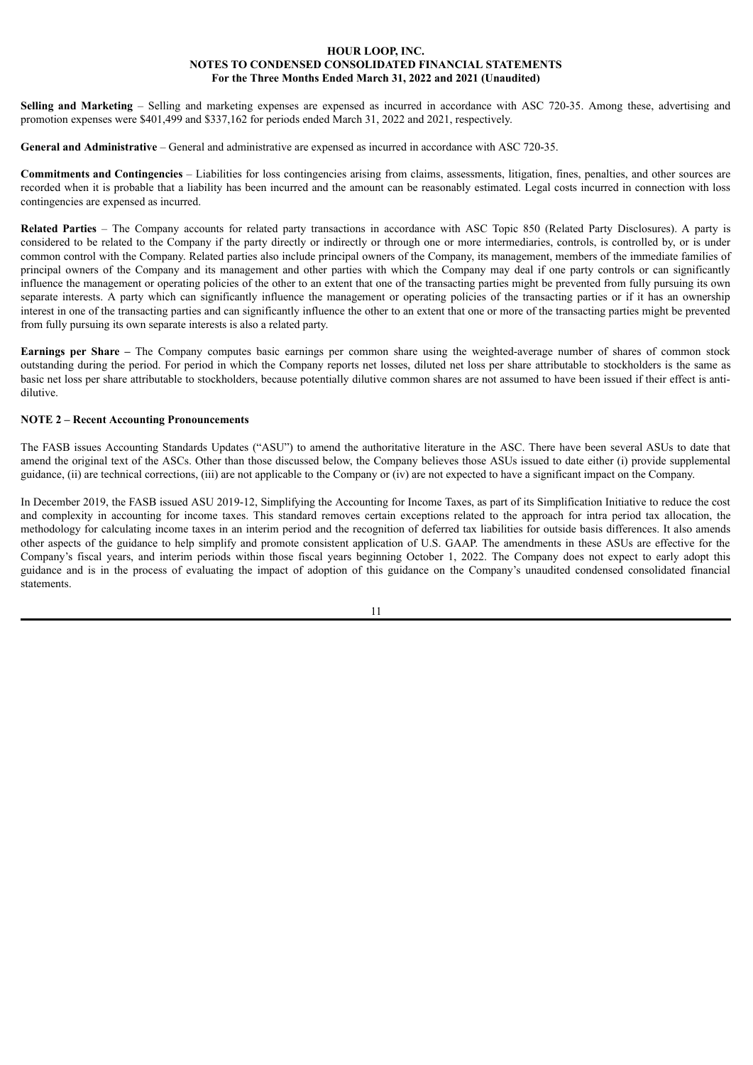**Selling and Marketing** – Selling and marketing expenses are expensed as incurred in accordance with ASC 720-35. Among these, advertising and promotion expenses were \$401,499 and \$337,162 for periods ended March 31, 2022 and 2021, respectively.

**General and Administrative** – General and administrative are expensed as incurred in accordance with ASC 720-35.

**Commitments and Contingencies** – Liabilities for loss contingencies arising from claims, assessments, litigation, fines, penalties, and other sources are recorded when it is probable that a liability has been incurred and the amount can be reasonably estimated. Legal costs incurred in connection with loss contingencies are expensed as incurred.

**Related Parties** – The Company accounts for related party transactions in accordance with ASC Topic 850 (Related Party Disclosures). A party is considered to be related to the Company if the party directly or indirectly or through one or more intermediaries, controls, is controlled by, or is under common control with the Company. Related parties also include principal owners of the Company, its management, members of the immediate families of principal owners of the Company and its management and other parties with which the Company may deal if one party controls or can significantly influence the management or operating policies of the other to an extent that one of the transacting parties might be prevented from fully pursuing its own separate interests. A party which can significantly influence the management or operating policies of the transacting parties or if it has an ownership interest in one of the transacting parties and can significantly influence the other to an extent that one or more of the transacting parties might be prevented from fully pursuing its own separate interests is also a related party.

**Earnings per Share –** The Company computes basic earnings per common share using the weighted-average number of shares of common stock outstanding during the period. For period in which the Company reports net losses, diluted net loss per share attributable to stockholders is the same as basic net loss per share attributable to stockholders, because potentially dilutive common shares are not assumed to have been issued if their effect is antidilutive.

## **NOTE 2 – Recent Accounting Pronouncements**

The FASB issues Accounting Standards Updates ("ASU") to amend the authoritative literature in the ASC. There have been several ASUs to date that amend the original text of the ASCs. Other than those discussed below, the Company believes those ASUs issued to date either (i) provide supplemental guidance, (ii) are technical corrections, (iii) are not applicable to the Company or (iv) are not expected to have a significant impact on the Company.

In December 2019, the FASB issued ASU 2019-12, Simplifying the Accounting for Income Taxes, as part of its Simplification Initiative to reduce the cost and complexity in accounting for income taxes. This standard removes certain exceptions related to the approach for intra period tax allocation, the methodology for calculating income taxes in an interim period and the recognition of deferred tax liabilities for outside basis differences. It also amends other aspects of the guidance to help simplify and promote consistent application of U.S. GAAP. The amendments in these ASUs are effective for the Company's fiscal years, and interim periods within those fiscal years beginning October 1, 2022. The Company does not expect to early adopt this guidance and is in the process of evaluating the impact of adoption of this guidance on the Company's unaudited condensed consolidated financial statements.

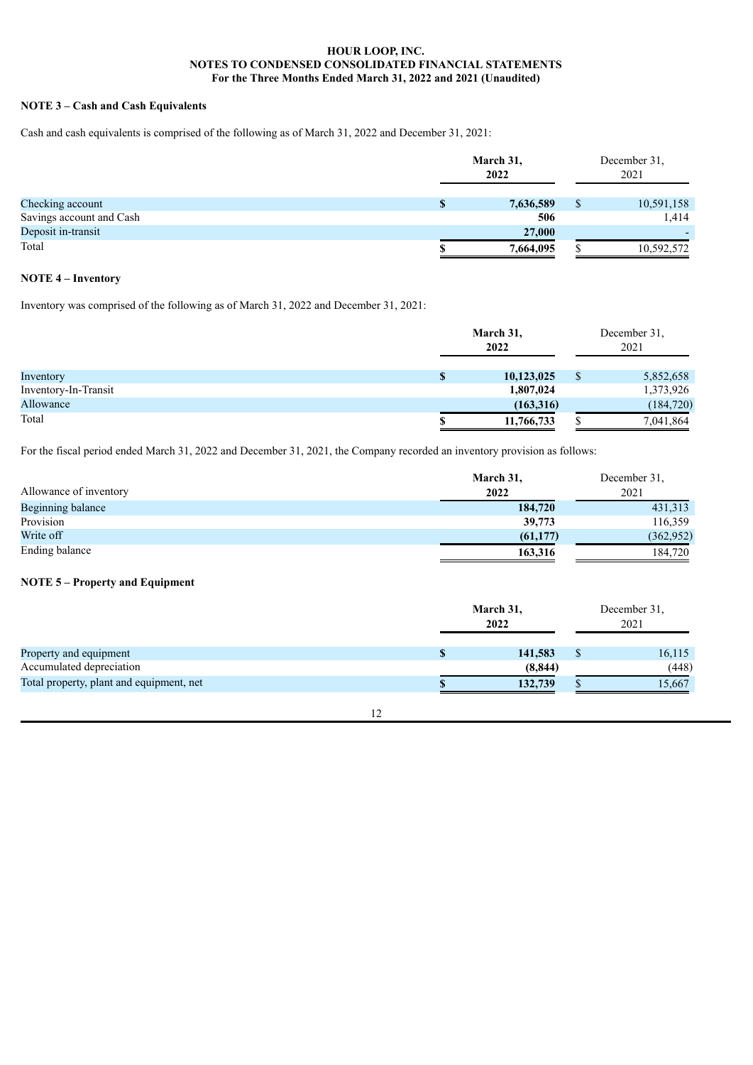## **NOTE 3 – Cash and Cash Equivalents**

Cash and cash equivalents is comprised of the following as of March 31, 2022 and December 31, 2021:

|                          | March 31,<br>2022 | December 31,<br>2021 |
|--------------------------|-------------------|----------------------|
| Checking account         | 7,636,589         | 10,591,158           |
| Savings account and Cash | 506               | 1,414                |
| Deposit in-transit       | 27,000            |                      |
| Total                    | 7,664,095         | 10,592,572           |

## **NOTE 4 – Inventory**

Inventory was comprised of the following as of March 31, 2022 and December 31, 2021:

|                      |   | March 31,<br>2022 | December 31,<br>2021 |            |  |
|----------------------|---|-------------------|----------------------|------------|--|
| Inventory            | S | 10,123,025        |                      | 5,852,658  |  |
| Inventory-In-Transit |   | 1,807,024         |                      | 1,373,926  |  |
| Allowance            |   | (163,316)         |                      | (184, 720) |  |
| Total                |   | 11,766,733        |                      | 7,041,864  |  |

For the fiscal period ended March 31, 2022 and December 31, 2021, the Company recorded an inventory provision as follows:

|                        | March 31, | December 31. |  |  |
|------------------------|-----------|--------------|--|--|
| Allowance of inventory | 2022      | 2021         |  |  |
| Beginning balance      | 184,720   | 431,313      |  |  |
| Provision              | 39,773    | 116,359      |  |  |
| Write off              | (61, 177) | (362, 952)   |  |  |
| Ending balance         | 163,316   | 184.720      |  |  |

# **NOTE 5 – Property and Equipment**

|                                          | March 31,<br>2022 | December 31.<br>2021 |  |  |
|------------------------------------------|-------------------|----------------------|--|--|
| Property and equipment                   | 141,583           | 16,115               |  |  |
| Accumulated depreciation                 | (8, 844)          | (448)                |  |  |
| Total property, plant and equipment, net | 132,739           | 15,667               |  |  |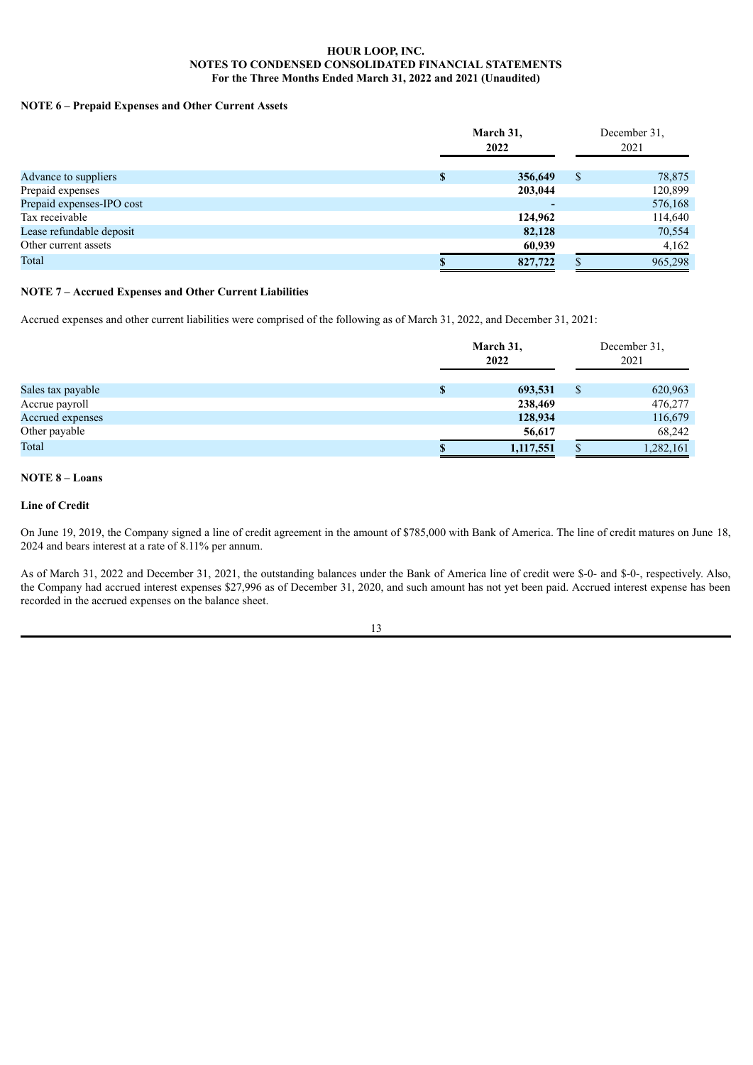#### **NOTE 6 – Prepaid Expenses and Other Current Assets**

|                           | March 31,<br>2022 |         |    | December 31.<br>2021 |  |
|---------------------------|-------------------|---------|----|----------------------|--|
| Advance to suppliers      |                   | 356,649 | \$ | 78,875               |  |
| Prepaid expenses          |                   | 203,044 |    | 120,899              |  |
| Prepaid expenses-IPO cost |                   |         |    | 576,168              |  |
| Tax receivable            |                   | 124,962 |    | 114,640              |  |
| Lease refundable deposit  |                   | 82,128  |    | 70,554               |  |
| Other current assets      |                   | 60,939  |    | 4,162                |  |
| Total                     |                   | 827,722 |    | 965,298              |  |

## **NOTE 7 – Accrued Expenses and Other Current Liabilities**

Accrued expenses and other current liabilities were comprised of the following as of March 31, 2022, and December 31, 2021:

|                   |  | March 31,<br>2022 |    | December 31,<br>2021 |  |
|-------------------|--|-------------------|----|----------------------|--|
| Sales tax payable |  | 693,531           | \$ | 620,963              |  |
| Accrue payroll    |  | 238,469           |    | 476,277              |  |
| Accrued expenses  |  | 128,934           |    | 116,679              |  |
| Other payable     |  | 56,617            |    | 68,242               |  |
| Total             |  | 1,117,551         |    | 1,282,161            |  |

## **NOTE 8 – Loans**

## **Line of Credit**

On June 19, 2019, the Company signed a line of credit agreement in the amount of \$785,000 with Bank of America. The line of credit matures on June 18, 2024 and bears interest at a rate of 8.11% per annum.

As of March 31, 2022 and December 31, 2021, the outstanding balances under the Bank of America line of credit were \$-0- and \$-0-, respectively. Also, the Company had accrued interest expenses \$27,996 as of December 31, 2020, and such amount has not yet been paid. Accrued interest expense has been recorded in the accrued expenses on the balance sheet.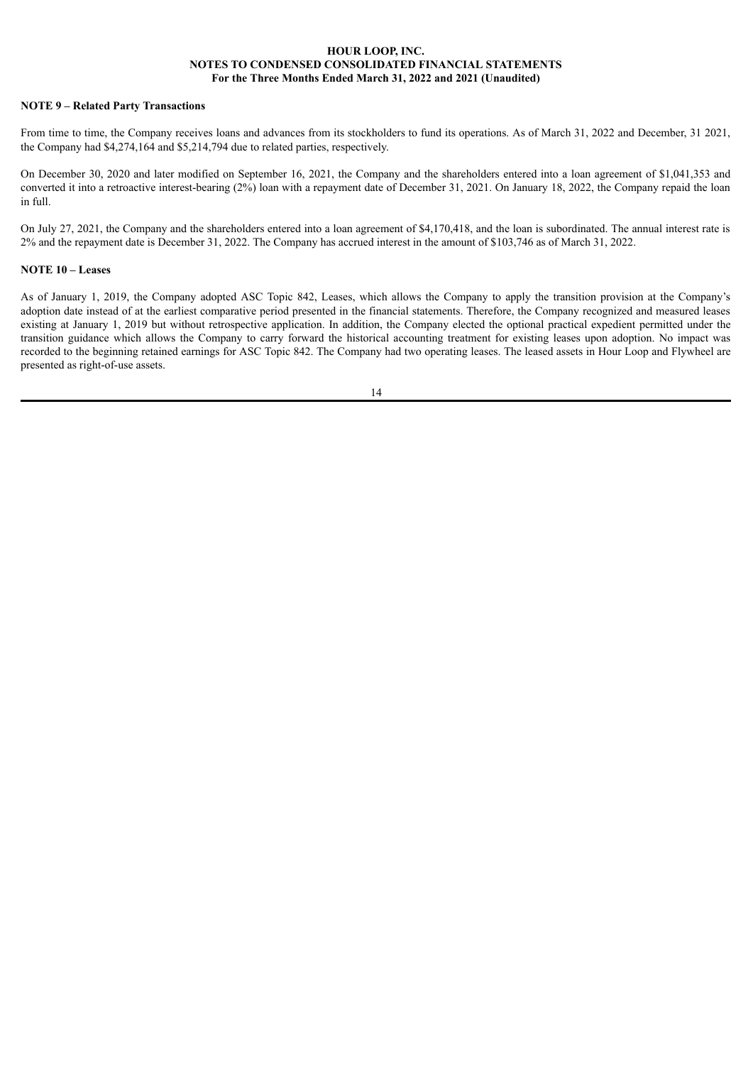#### **NOTE 9 – Related Party Transactions**

From time to time, the Company receives loans and advances from its stockholders to fund its operations. As of March 31, 2022 and December, 31 2021, the Company had \$4,274,164 and \$5,214,794 due to related parties, respectively.

On December 30, 2020 and later modified on September 16, 2021, the Company and the shareholders entered into a loan agreement of \$1,041,353 and converted it into a retroactive interest-bearing (2%) loan with a repayment date of December 31, 2021. On January 18, 2022, the Company repaid the loan in full.

On July 27, 2021, the Company and the shareholders entered into a loan agreement of \$4,170,418, and the loan is subordinated. The annual interest rate is 2% and the repayment date is December 31, 2022. The Company has accrued interest in the amount of \$103,746 as of March 31, 2022.

### **NOTE 10 – Leases**

As of January 1, 2019, the Company adopted ASC Topic 842, Leases, which allows the Company to apply the transition provision at the Company's adoption date instead of at the earliest comparative period presented in the financial statements. Therefore, the Company recognized and measured leases existing at January 1, 2019 but without retrospective application. In addition, the Company elected the optional practical expedient permitted under the transition guidance which allows the Company to carry forward the historical accounting treatment for existing leases upon adoption. No impact was recorded to the beginning retained earnings for ASC Topic 842. The Company had two operating leases. The leased assets in Hour Loop and Flywheel are presented as right-of-use assets.

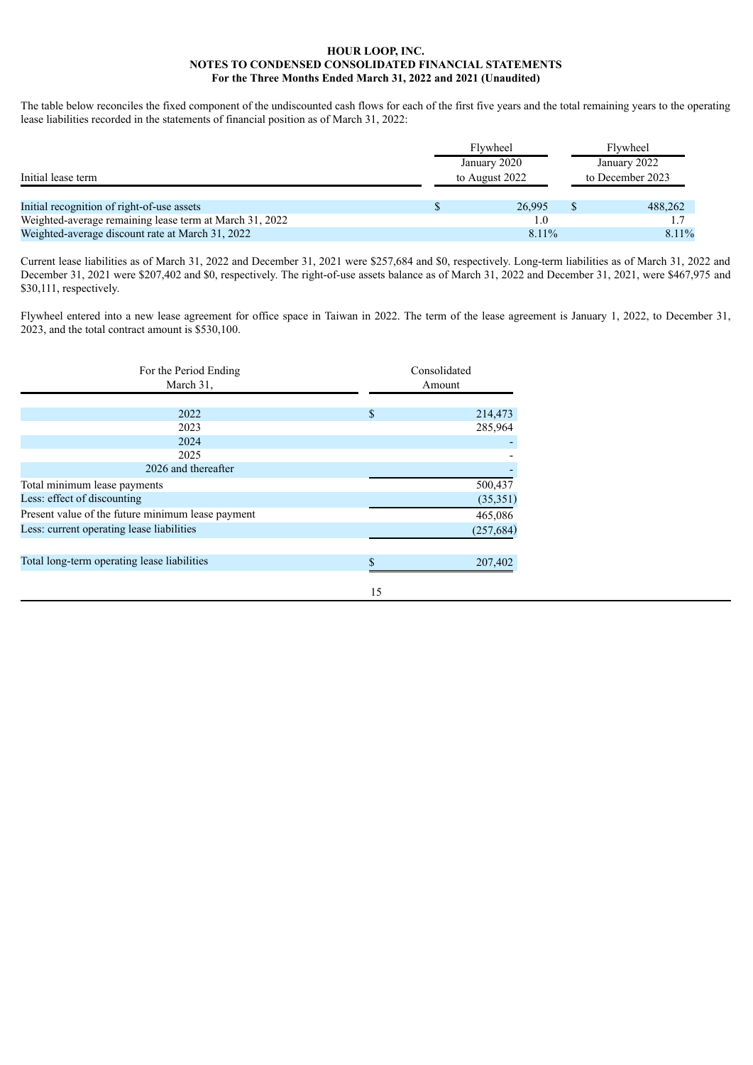The table below reconciles the fixed component of the undiscounted cash flows for each of the first five years and the total remaining years to the operating lease liabilities recorded in the statements of financial position as of March 31, 2022:

|                                                                                                       | Flywheel                       | Flywheel |                                  |
|-------------------------------------------------------------------------------------------------------|--------------------------------|----------|----------------------------------|
| Initial lease term                                                                                    | January 2020<br>to August 2022 |          | January 2022<br>to December 2023 |
| Initial recognition of right-of-use assets<br>Weighted-average remaining lease term at March 31, 2022 | 26.995<br>1.0                  |          | 488,262                          |
| Weighted-average discount rate at March 31, 2022                                                      | 8.11%                          |          | 8.11%                            |

Current lease liabilities as of March 31, 2022 and December 31, 2021 were \$257,684 and \$0, respectively. Long-term liabilities as of March 31, 2022 and December 31, 2021 were \$207,402 and \$0, respectively. The right-of-use assets balance as of March 31, 2022 and December 31, 2021, were \$467,975 and \$30,111, respectively.

Flywheel entered into a new lease agreement for office space in Taiwan in 2022. The term of the lease agreement is January 1, 2022, to December 31, 2023, and the total contract amount is \$530,100.

| For the Period Ending                             |    | Consolidated |
|---------------------------------------------------|----|--------------|
| March 31,                                         |    | Amount       |
|                                                   |    |              |
| 2022                                              | \$ | 214,473      |
| 2023                                              |    | 285,964      |
| 2024                                              |    |              |
| 2025                                              |    |              |
| 2026 and thereafter                               |    |              |
| Total minimum lease payments                      |    | 500,437      |
| Less: effect of discounting                       |    | (35, 351)    |
| Present value of the future minimum lease payment |    | 465,086      |
| Less: current operating lease liabilities         |    | (257, 684)   |
|                                                   |    |              |
| Total long-term operating lease liabilities       | S  | 207,402      |
|                                                   |    |              |
|                                                   | 15 |              |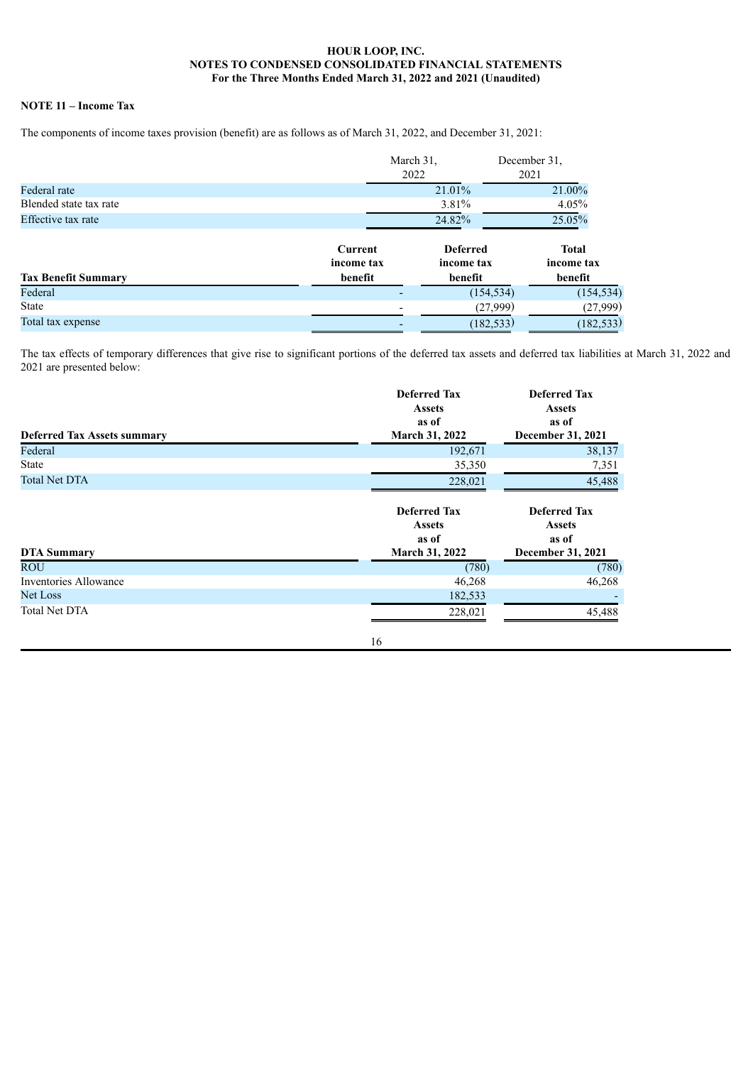## **NOTE 11 – Income Tax**

The components of income taxes provision (benefit) are as follows as of March 31, 2022, and December 31, 2021:

|                            |                                  | March 31,<br>2022                        | December 31,<br>2021                  |
|----------------------------|----------------------------------|------------------------------------------|---------------------------------------|
| Federal rate               |                                  | 21.01%                                   | 21.00%                                |
| Blended state tax rate     |                                  | 3.81%                                    | 4.05%                                 |
| Effective tax rate         |                                  | 24.82%                                   | 25.05%                                |
| <b>Tax Benefit Summary</b> | Current<br>income tax<br>benefit | <b>Deferred</b><br>income tax<br>benefit | <b>Total</b><br>income tax<br>benefit |
| Federal                    |                                  |                                          | (154, 534)<br>(154, 534)              |
| State                      |                                  |                                          | (27,999)<br>(27,999)                  |
| Total tax expense          |                                  |                                          | (182, 533)<br>(182, 533)              |

The tax effects of temporary differences that give rise to significant portions of the deferred tax assets and deferred tax liabilities at March 31, 2022 and 2021 are presented below:

| <b>Deferred Tax Assets summary</b> | <b>Deferred Tax</b><br><b>Assets</b><br>as of<br><b>March 31, 2022</b> | <b>Deferred Tax</b><br><b>Assets</b><br>as of<br>December 31, 2021 |
|------------------------------------|------------------------------------------------------------------------|--------------------------------------------------------------------|
| Federal                            | 192,671                                                                | 38,137                                                             |
| <b>State</b>                       | 35,350                                                                 | 7,351                                                              |
| <b>Total Net DTA</b>               | 228,021                                                                | 45,488                                                             |
| <b>DTA Summary</b>                 | <b>Deferred Tax</b><br><b>Assets</b><br>as of<br><b>March 31, 2022</b> | <b>Deferred Tax</b><br><b>Assets</b><br>as of<br>December 31, 2021 |
| <b>ROU</b>                         | (780)                                                                  | (780)                                                              |
| <b>Inventories Allowance</b>       | 46,268                                                                 | 46,268                                                             |
| <b>Net Loss</b>                    | 182,533                                                                |                                                                    |
| <b>Total Net DTA</b>               | 228,021<br>16                                                          | 45,488                                                             |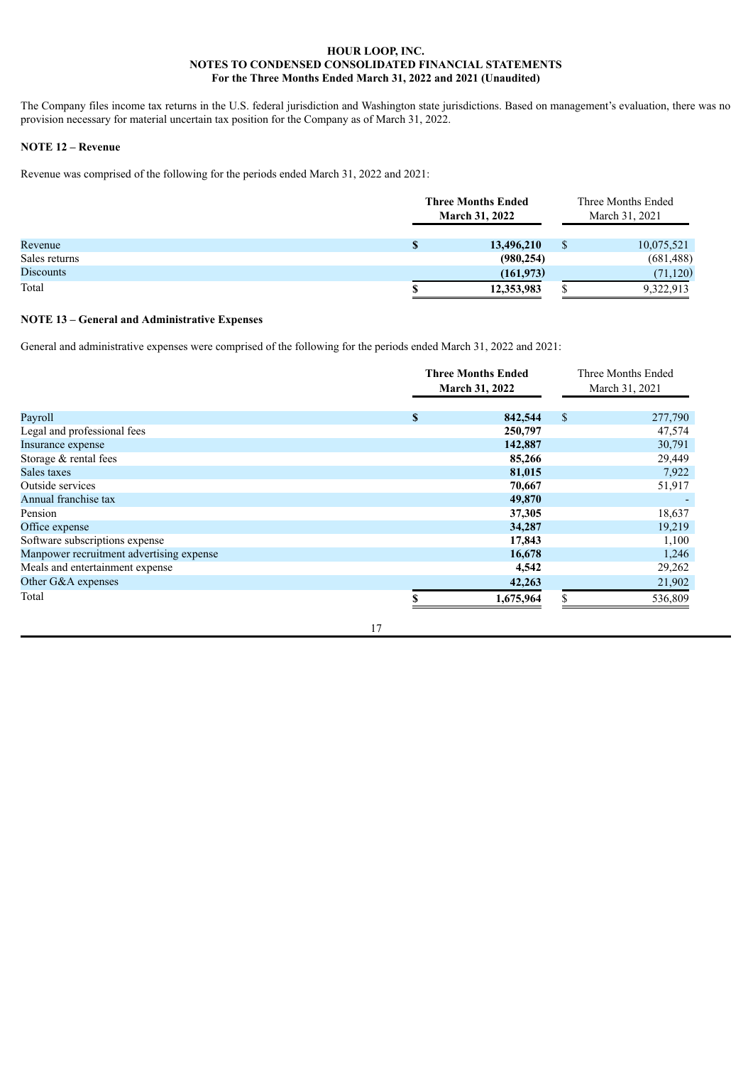The Company files income tax returns in the U.S. federal jurisdiction and Washington state jurisdictions. Based on management's evaluation, there was no provision necessary for material uncertain tax position for the Company as of March 31, 2022.

## **NOTE 12 – Revenue**

Revenue was comprised of the following for the periods ended March 31, 2022 and 2021:

|                          |   | <b>Three Months Ended</b><br><b>March 31, 2022</b> |  | Three Months Ended<br>March 31, 2021 |  |
|--------------------------|---|----------------------------------------------------|--|--------------------------------------|--|
| Revenue<br>Sales returns | S | 13,496,210<br>(980, 254)                           |  | 10,075,521                           |  |
| <b>Discounts</b>         |   | (161, 973)                                         |  | (681, 488)<br>(71, 120)              |  |
| Total                    |   | 12,353,983                                         |  | 9,322,913                            |  |

## **NOTE 13 – General and Administrative Expenses**

General and administrative expenses were comprised of the following for the periods ended March 31, 2022 and 2021:

|                                          | <b>Three Months Ended</b><br><b>March 31, 2022</b> |           | Three Months Ended<br>March 31, 2021 |         |
|------------------------------------------|----------------------------------------------------|-----------|--------------------------------------|---------|
| Payroll                                  | $\mathbf{s}$                                       | 842,544   | \$                                   | 277,790 |
| Legal and professional fees              |                                                    | 250,797   |                                      | 47,574  |
| Insurance expense                        |                                                    | 142,887   |                                      | 30,791  |
| Storage & rental fees                    |                                                    | 85,266    |                                      | 29,449  |
| Sales taxes                              |                                                    | 81,015    |                                      | 7,922   |
| Outside services                         |                                                    | 70,667    |                                      | 51,917  |
| Annual franchise tax                     |                                                    | 49,870    |                                      |         |
| Pension                                  |                                                    | 37,305    |                                      | 18,637  |
| Office expense                           |                                                    | 34,287    |                                      | 19,219  |
| Software subscriptions expense           |                                                    | 17,843    |                                      | 1,100   |
| Manpower recruitment advertising expense |                                                    | 16,678    |                                      | 1,246   |
| Meals and entertainment expense          |                                                    | 4,542     |                                      | 29,262  |
| Other G&A expenses                       |                                                    | 42,263    |                                      | 21,902  |
| Total                                    |                                                    | 1,675,964 |                                      | 536,809 |

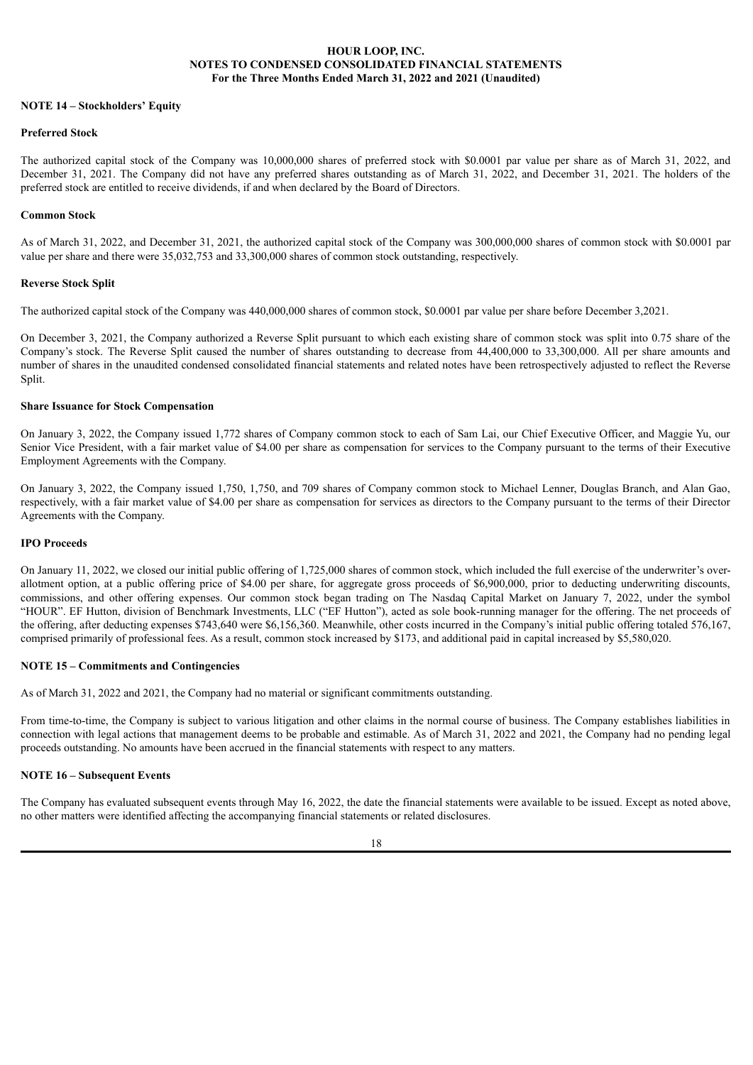#### **NOTE 14 – Stockholders' Equity**

## **Preferred Stock**

The authorized capital stock of the Company was 10,000,000 shares of preferred stock with \$0.0001 par value per share as of March 31, 2022, and December 31, 2021. The Company did not have any preferred shares outstanding as of March 31, 2022, and December 31, 2021. The holders of the preferred stock are entitled to receive dividends, if and when declared by the Board of Directors.

## **Common Stock**

As of March 31, 2022, and December 31, 2021, the authorized capital stock of the Company was 300,000,000 shares of common stock with \$0.0001 par value per share and there were 35,032,753 and 33,300,000 shares of common stock outstanding, respectively.

#### **Reverse Stock Split**

The authorized capital stock of the Company was 440,000,000 shares of common stock, \$0.0001 par value per share before December 3,2021.

On December 3, 2021, the Company authorized a Reverse Split pursuant to which each existing share of common stock was split into 0.75 share of the Company's stock. The Reverse Split caused the number of shares outstanding to decrease from 44,400,000 to 33,300,000. All per share amounts and number of shares in the unaudited condensed consolidated financial statements and related notes have been retrospectively adjusted to reflect the Reverse Split.

#### **Share Issuance for Stock Compensation**

On January 3, 2022, the Company issued 1,772 shares of Company common stock to each of Sam Lai, our Chief Executive Officer, and Maggie Yu, our Senior Vice President, with a fair market value of \$4.00 per share as compensation for services to the Company pursuant to the terms of their Executive Employment Agreements with the Company.

On January 3, 2022, the Company issued 1,750, 1,750, and 709 shares of Company common stock to Michael Lenner, Douglas Branch, and Alan Gao, respectively, with a fair market value of \$4.00 per share as compensation for services as directors to the Company pursuant to the terms of their Director Agreements with the Company.

## **IPO Proceeds**

On January 11, 2022, we closed our initial public offering of 1,725,000 shares of common stock, which included the full exercise of the underwriter's overallotment option, at a public offering price of \$4.00 per share, for aggregate gross proceeds of \$6,900,000, prior to deducting underwriting discounts, commissions, and other offering expenses. Our common stock began trading on The Nasdaq Capital Market on January 7, 2022, under the symbol "HOUR". EF Hutton, division of Benchmark Investments, LLC ("EF Hutton"), acted as sole book-running manager for the offering. The net proceeds of the offering, after deducting expenses \$743,640 were \$6,156,360. Meanwhile, other costs incurred in the Company's initial public offering totaled 576,167, comprised primarily of professional fees. As a result, common stock increased by \$173, and additional paid in capital increased by \$5,580,020.

## **NOTE 15 – Commitments and Contingencies**

As of March 31, 2022 and 2021, the Company had no material or significant commitments outstanding.

From time-to-time, the Company is subject to various litigation and other claims in the normal course of business. The Company establishes liabilities in connection with legal actions that management deems to be probable and estimable. As of March 31, 2022 and 2021, the Company had no pending legal proceeds outstanding. No amounts have been accrued in the financial statements with respect to any matters.

## **NOTE 16 – Subsequent Events**

The Company has evaluated subsequent events through May 16, 2022, the date the financial statements were available to be issued. Except as noted above, no other matters were identified affecting the accompanying financial statements or related disclosures.

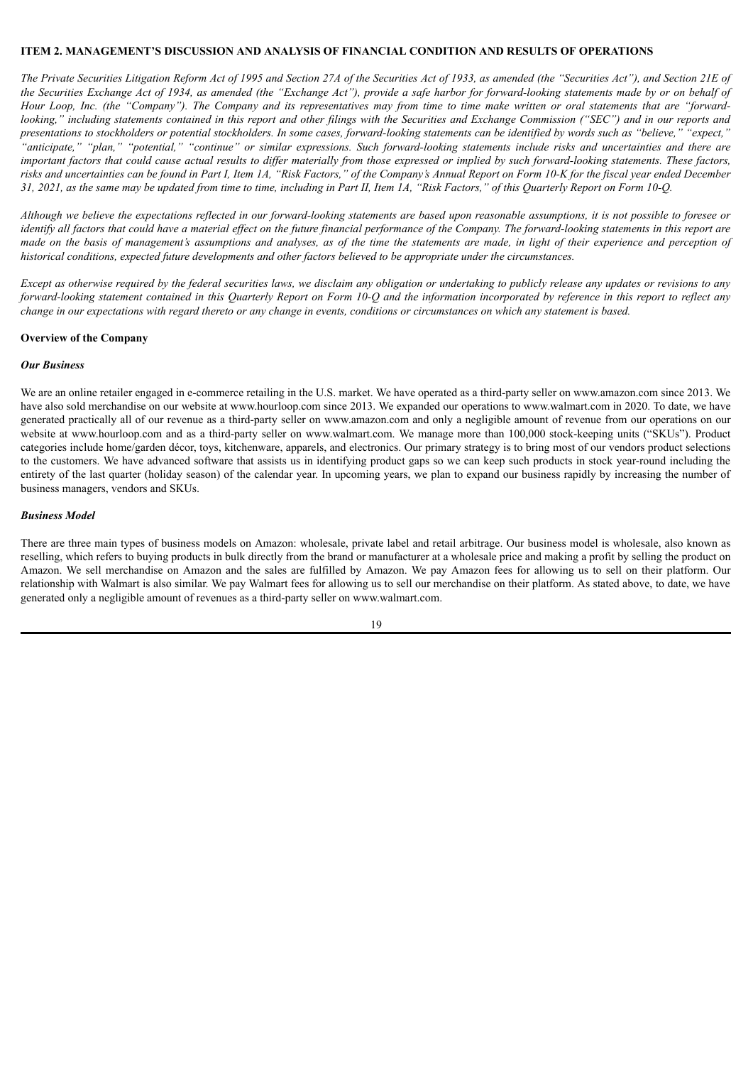#### <span id="page-19-0"></span>**ITEM 2. MANAGEMENT'S DISCUSSION AND ANALYSIS OF FINANCIAL CONDITION AND RESULTS OF OPERATIONS**

The Private Securities Litigation Reform Act of 1995 and Section 27A of the Securities Act of 1933, as amended (the "Securities Act"), and Section 21E of the Securities Exchange Act of 1934, as amended (the "Exchange Act"), provide a safe harbor for forward-looking statements made by or on behalf of Hour Loop, Inc. (the "Company"). The Company and its representatives may from time to time make written or oral statements that are "forwardlooking," including statements contained in this report and other filings with the Securities and Exchange Commission ("SEC") and in our reports and presentations to stockholders or potential stockholders. In some cases, forward-looking statements can be identified by words such as "believe," "expect," "anticipate," "plan," "potential," "continue" or similar expressions. Such forward-looking statements include risks and uncertainties and there are important factors that could cause actual results to differ materially from those expressed or implied by such forward-looking statements. These factors, risks and uncertainties can be found in Part I, Item 1A, "Risk Factors," of the Company's Annual Report on Form 10-K for the fiscal year ended December 31, 2021, as the same may be updated from time to time, including in Part II, Item 1A, "Risk Factors," of this Quarterly Report on Form 10-Q.

Although we believe the expectations reflected in our forward-looking statements are based upon reasonable assumptions, it is not possible to foresee or identify all factors that could have a material effect on the future financial performance of the Company. The forward-looking statements in this report are made on the basis of management's assumptions and analyses, as of the time the statements are made, in light of their experience and perception of historical conditions, expected future developments and other factors believed to be appropriate under the circumstances.

Except as otherwise required by the federal securities laws, we disclaim any obligation or undertaking to publicly release any updates or revisions to any forward-looking statement contained in this Quarterly Report on Form 10-Q and the information incorporated by reference in this report to reflect any change in our expectations with regard thereto or any change in events, conditions or circumstances on which any statement is based.

#### **Overview of the Company**

#### *Our Business*

We are an online retailer engaged in e-commerce retailing in the U.S. market. We have operated as a third-party seller on www.amazon.com since 2013. We have also sold merchandise on our website at www.hourloop.com since 2013. We expanded our operations to www.walmart.com in 2020. To date, we have generated practically all of our revenue as a third-party seller on www.amazon.com and only a negligible amount of revenue from our operations on our website at www.hourloop.com and as a third-party seller on www.walmart.com. We manage more than 100,000 stock-keeping units ("SKUs"). Product categories include home/garden décor, toys, kitchenware, apparels, and electronics. Our primary strategy is to bring most of our vendors product selections to the customers. We have advanced software that assists us in identifying product gaps so we can keep such products in stock year-round including the entirety of the last quarter (holiday season) of the calendar year. In upcoming years, we plan to expand our business rapidly by increasing the number of business managers, vendors and SKUs.

#### *Business Model*

There are three main types of business models on Amazon: wholesale, private label and retail arbitrage. Our business model is wholesale, also known as reselling, which refers to buying products in bulk directly from the brand or manufacturer at a wholesale price and making a profit by selling the product on Amazon. We sell merchandise on Amazon and the sales are fulfilled by Amazon. We pay Amazon fees for allowing us to sell on their platform. Our relationship with Walmart is also similar. We pay Walmart fees for allowing us to sell our merchandise on their platform. As stated above, to date, we have generated only a negligible amount of revenues as a third-party seller on www.walmart.com.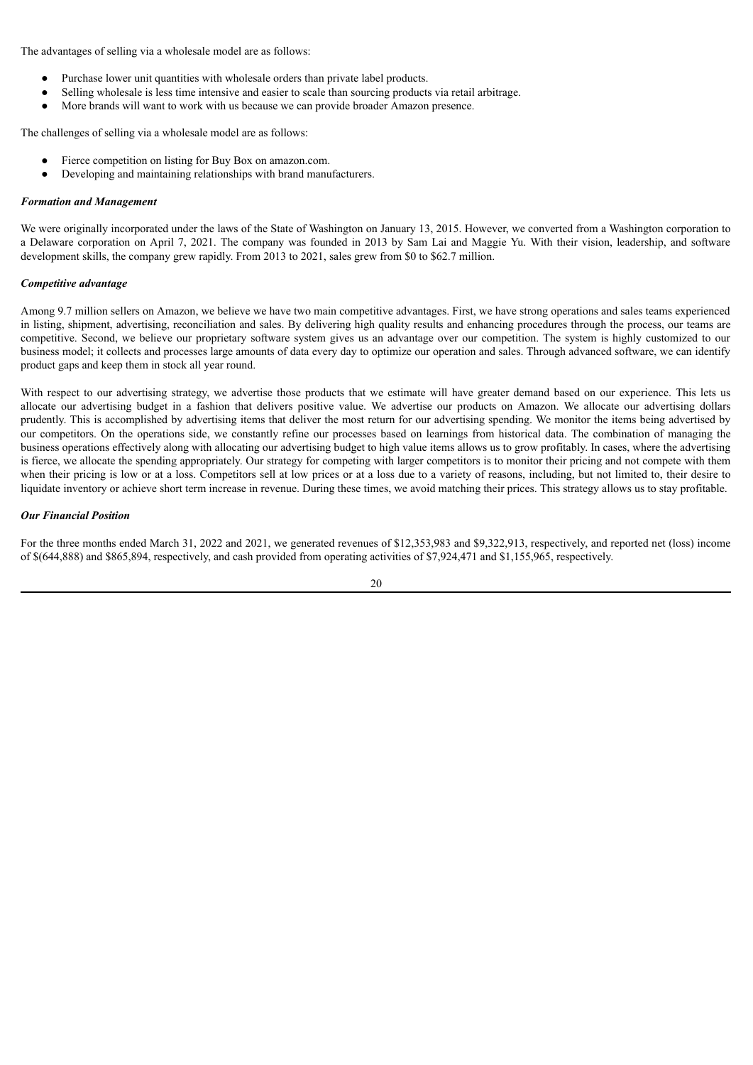The advantages of selling via a wholesale model are as follows:

- Purchase lower unit quantities with wholesale orders than private label products.
- Selling wholesale is less time intensive and easier to scale than sourcing products via retail arbitrage.
- More brands will want to work with us because we can provide broader Amazon presence.

The challenges of selling via a wholesale model are as follows:

- Fierce competition on listing for Buy Box on amazon.com.
- Developing and maintaining relationships with brand manufacturers.

#### *Formation and Management*

We were originally incorporated under the laws of the State of Washington on January 13, 2015. However, we converted from a Washington corporation to a Delaware corporation on April 7, 2021. The company was founded in 2013 by Sam Lai and Maggie Yu. With their vision, leadership, and software development skills, the company grew rapidly. From 2013 to 2021, sales grew from \$0 to \$62.7 million.

#### *Competitive advantage*

Among 9.7 million sellers on Amazon, we believe we have two main competitive advantages. First, we have strong operations and sales teams experienced in listing, shipment, advertising, reconciliation and sales. By delivering high quality results and enhancing procedures through the process, our teams are competitive. Second, we believe our proprietary software system gives us an advantage over our competition. The system is highly customized to our business model; it collects and processes large amounts of data every day to optimize our operation and sales. Through advanced software, we can identify product gaps and keep them in stock all year round.

With respect to our advertising strategy, we advertise those products that we estimate will have greater demand based on our experience. This lets us allocate our advertising budget in a fashion that delivers positive value. We advertise our products on Amazon. We allocate our advertising dollars prudently. This is accomplished by advertising items that deliver the most return for our advertising spending. We monitor the items being advertised by our competitors. On the operations side, we constantly refine our processes based on learnings from historical data. The combination of managing the business operations effectively along with allocating our advertising budget to high value items allows us to grow profitably. In cases, where the advertising is fierce, we allocate the spending appropriately. Our strategy for competing with larger competitors is to monitor their pricing and not compete with them when their pricing is low or at a loss. Competitors sell at low prices or at a loss due to a variety of reasons, including, but not limited to, their desire to liquidate inventory or achieve short term increase in revenue. During these times, we avoid matching their prices. This strategy allows us to stay profitable.

#### *Our Financial Position*

For the three months ended March 31, 2022 and 2021, we generated revenues of \$12,353,983 and \$9,322,913, respectively, and reported net (loss) income of \$(644,888) and \$865,894, respectively, and cash provided from operating activities of \$7,924,471 and \$1,155,965, respectively.

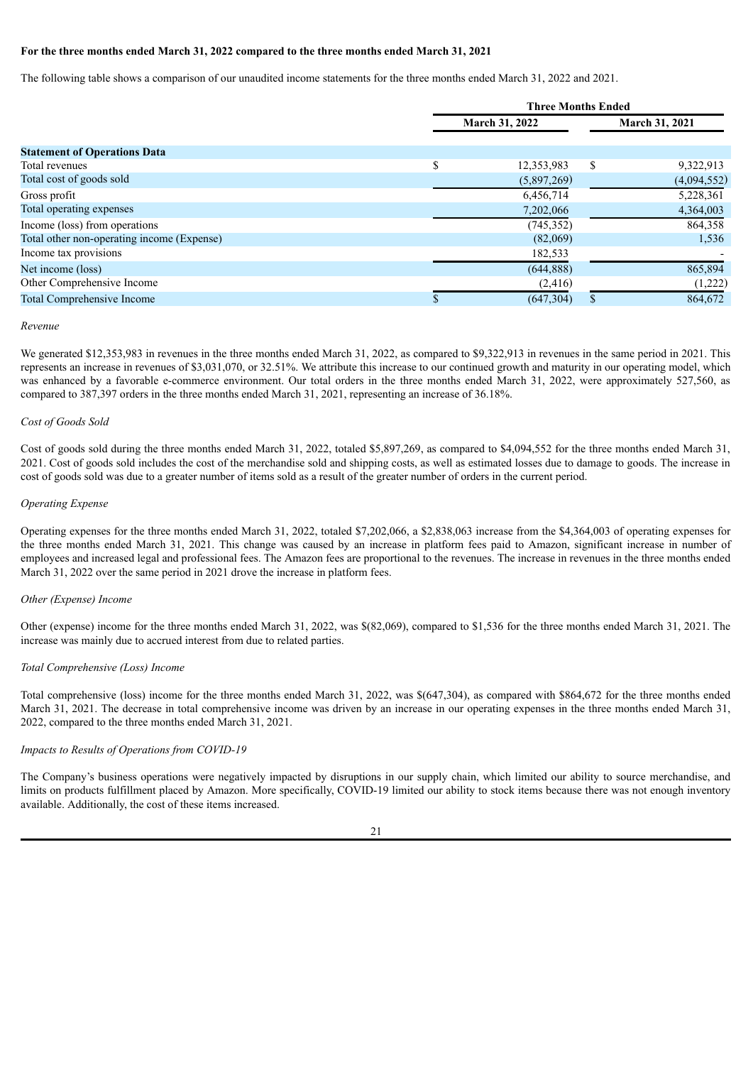## **For the three months ended March 31, 2022 compared to the three months ended March 31, 2021**

The following table shows a comparison of our unaudited income statements for the three months ended March 31, 2022 and 2021.

|                                            | <b>Three Months Ended</b> |    |                       |  |
|--------------------------------------------|---------------------------|----|-----------------------|--|
|                                            | <b>March 31, 2022</b>     |    | <b>March 31, 2021</b> |  |
|                                            |                           |    |                       |  |
| <b>Statement of Operations Data</b>        |                           |    |                       |  |
| Total revenues                             | \$<br>12,353,983          | \$ | 9,322,913             |  |
| Total cost of goods sold                   | (5,897,269)               |    | (4,094,552)           |  |
| Gross profit                               | 6,456,714                 |    | 5,228,361             |  |
| Total operating expenses                   | 7,202,066                 |    | 4,364,003             |  |
| Income (loss) from operations              | (745, 352)                |    | 864,358               |  |
| Total other non-operating income (Expense) | (82,069)                  |    | 1,536                 |  |
| Income tax provisions                      | 182,533                   |    |                       |  |
| Net income (loss)                          | (644,888)                 |    | 865,894               |  |
| Other Comprehensive Income                 | (2, 416)                  |    | (1,222)               |  |
| <b>Total Comprehensive Income</b>          | (647, 304)                |    | 864,672               |  |

#### *Revenue*

We generated \$12,353,983 in revenues in the three months ended March 31, 2022, as compared to \$9,322,913 in revenues in the same period in 2021. This represents an increase in revenues of \$3,031,070, or 32.51%. We attribute this increase to our continued growth and maturity in our operating model, which was enhanced by a favorable e-commerce environment. Our total orders in the three months ended March 31, 2022, were approximately 527,560, as compared to 387,397 orders in the three months ended March 31, 2021, representing an increase of 36.18%.

#### *Cost of Goods Sold*

Cost of goods sold during the three months ended March 31, 2022, totaled \$5,897,269, as compared to \$4,094,552 for the three months ended March 31, 2021. Cost of goods sold includes the cost of the merchandise sold and shipping costs, as well as estimated losses due to damage to goods. The increase in cost of goods sold was due to a greater number of items sold as a result of the greater number of orders in the current period.

### *Operating Expense*

Operating expenses for the three months ended March 31, 2022, totaled \$7,202,066, a \$2,838,063 increase from the \$4,364,003 of operating expenses for the three months ended March 31, 2021. This change was caused by an increase in platform fees paid to Amazon, significant increase in number of employees and increased legal and professional fees. The Amazon fees are proportional to the revenues. The increase in revenues in the three months ended March 31, 2022 over the same period in 2021 drove the increase in platform fees.

#### *Other (Expense) Income*

Other (expense) income for the three months ended March 31, 2022, was \$(82,069), compared to \$1,536 for the three months ended March 31, 2021. The increase was mainly due to accrued interest from due to related parties.

#### *Total Comprehensive (Loss) Income*

Total comprehensive (loss) income for the three months ended March 31, 2022, was \$(647,304), as compared with \$864,672 for the three months ended March 31, 2021. The decrease in total comprehensive income was driven by an increase in our operating expenses in the three months ended March 31, 2022, compared to the three months ended March 31, 2021.

#### *Impacts to Results of Operations from COVID-19*

The Company's business operations were negatively impacted by disruptions in our supply chain, which limited our ability to source merchandise, and limits on products fulfillment placed by Amazon. More specifically, COVID-19 limited our ability to stock items because there was not enough inventory available. Additionally, the cost of these items increased.

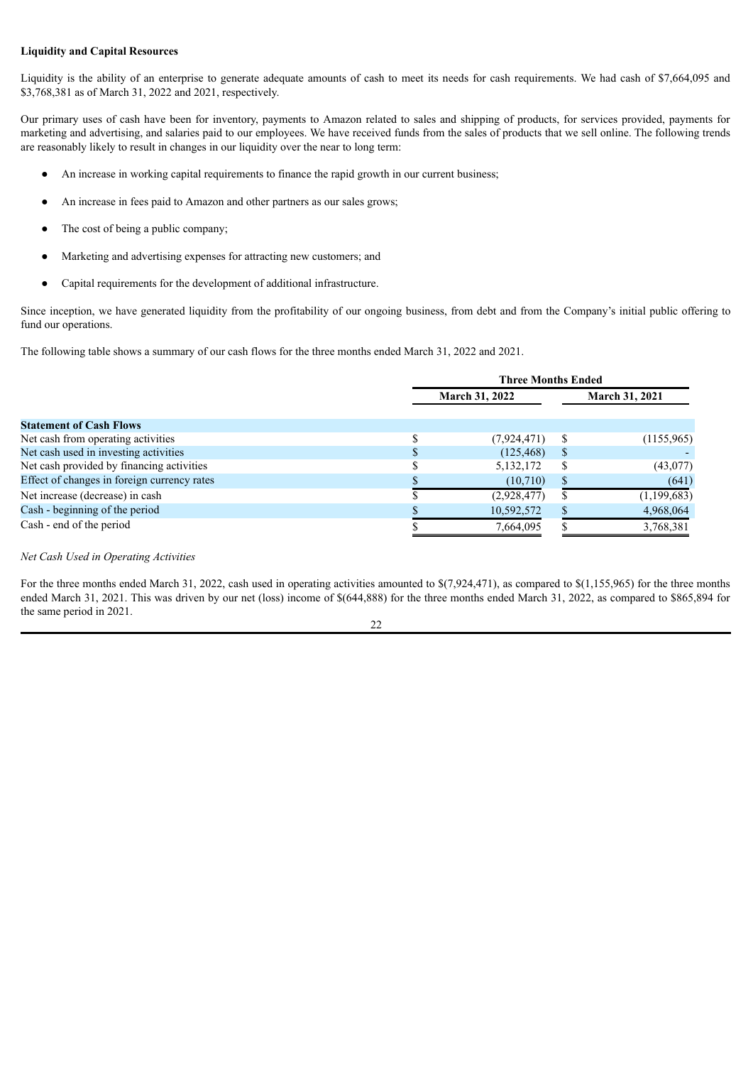# **Liquidity and Capital Resources**

Liquidity is the ability of an enterprise to generate adequate amounts of cash to meet its needs for cash requirements. We had cash of \$7,664,095 and \$3,768,381 as of March 31, 2022 and 2021, respectively.

Our primary uses of cash have been for inventory, payments to Amazon related to sales and shipping of products, for services provided, payments for marketing and advertising, and salaries paid to our employees. We have received funds from the sales of products that we sell online. The following trends are reasonably likely to result in changes in our liquidity over the near to long term:

- An increase in working capital requirements to finance the rapid growth in our current business;
- An increase in fees paid to Amazon and other partners as our sales grows;
- The cost of being a public company;
- Marketing and advertising expenses for attracting new customers; and
- Capital requirements for the development of additional infrastructure.

Since inception, we have generated liquidity from the profitability of our ongoing business, from debt and from the Company's initial public offering to fund our operations.

The following table shows a summary of our cash flows for the three months ended March 31, 2022 and 2021.

|                                             | <b>Three Months Ended</b> |   |                       |  |
|---------------------------------------------|---------------------------|---|-----------------------|--|
|                                             | <b>March 31, 2022</b>     |   | <b>March 31, 2021</b> |  |
| <b>Statement of Cash Flows</b>              |                           |   |                       |  |
| Net cash from operating activities          | (7,924,471)               | S | (1155,965)            |  |
| Net cash used in investing activities       | (125, 468)                | S |                       |  |
| Net cash provided by financing activities   | 5,132,172                 | S | (43,077)              |  |
| Effect of changes in foreign currency rates | (10,710)                  |   | (641)                 |  |
| Net increase (decrease) in cash             | (2,928,477)               | S | (1,199,683)           |  |
| Cash - beginning of the period              | 10,592,572                |   | 4,968,064             |  |
| Cash - end of the period                    | 7,664,095                 |   | 3,768,381             |  |

## *Net Cash Used in Operating Activities*

For the three months ended March 31, 2022, cash used in operating activities amounted to  $\frac{s(7,924,471)}{s(7,924,471)}$ , as compared to  $\frac{s(1,155,965)}{s(7,155,465)}$  for the three months ended March 31, 2021. This was driven by our net (loss) income of \$(644,888) for the three months ended March 31, 2022, as compared to \$865,894 for the same period in 2021.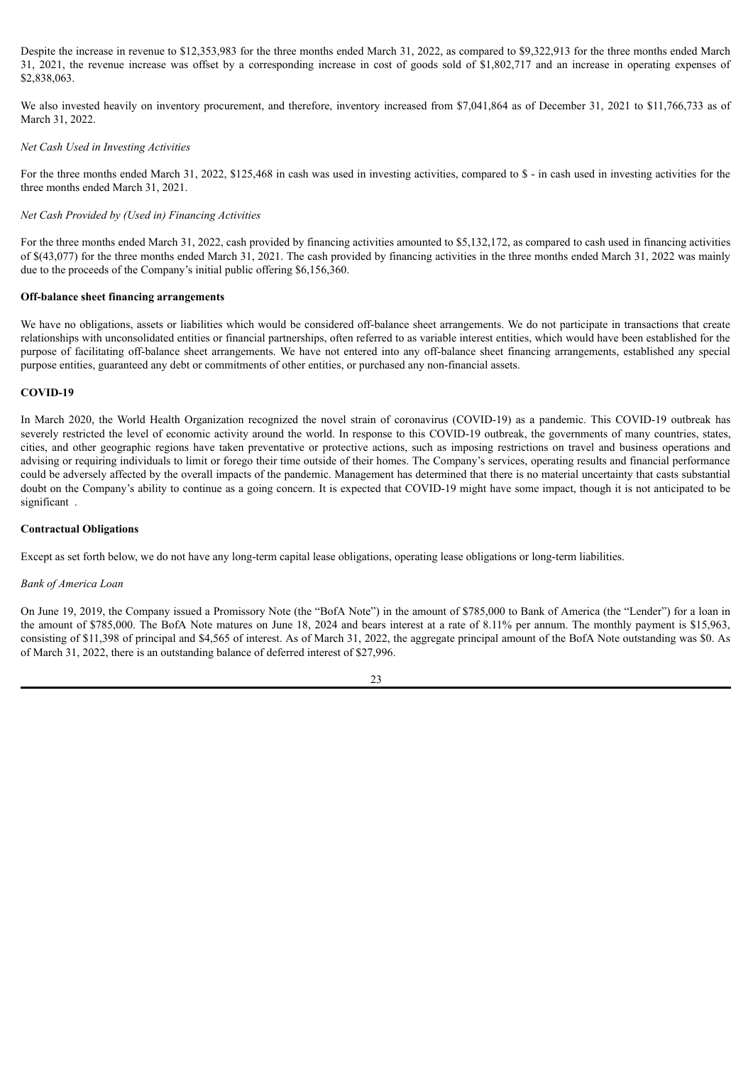Despite the increase in revenue to \$12,353,983 for the three months ended March 31, 2022, as compared to \$9,322,913 for the three months ended March 31, 2021, the revenue increase was offset by a corresponding increase in cost of goods sold of \$1,802,717 and an increase in operating expenses of \$2,838,063.

We also invested heavily on inventory procurement, and therefore, inventory increased from \$7,041,864 as of December 31, 2021 to \$11,766,733 as of March 31, 2022.

#### *Net Cash Used in Investing Activities*

For the three months ended March 31, 2022, \$125,468 in cash was used in investing activities, compared to \$ - in cash used in investing activities for the three months ended March 31, 2021.

#### *Net Cash Provided by (Used in) Financing Activities*

For the three months ended March 31, 2022, cash provided by financing activities amounted to \$5,132,172, as compared to cash used in financing activities of \$(43,077) for the three months ended March 31, 2021. The cash provided by financing activities in the three months ended March 31, 2022 was mainly due to the proceeds of the Company's initial public offering \$6,156,360.

#### **Off-balance sheet financing arrangements**

We have no obligations, assets or liabilities which would be considered off-balance sheet arrangements. We do not participate in transactions that create relationships with unconsolidated entities or financial partnerships, often referred to as variable interest entities, which would have been established for the purpose of facilitating off-balance sheet arrangements. We have not entered into any off-balance sheet financing arrangements, established any special purpose entities, guaranteed any debt or commitments of other entities, or purchased any non-financial assets.

#### **COVID-19**

In March 2020, the World Health Organization recognized the novel strain of coronavirus (COVID-19) as a pandemic. This COVID-19 outbreak has severely restricted the level of economic activity around the world. In response to this COVID-19 outbreak, the governments of many countries, states, cities, and other geographic regions have taken preventative or protective actions, such as imposing restrictions on travel and business operations and advising or requiring individuals to limit or forego their time outside of their homes. The Company's services, operating results and financial performance could be adversely affected by the overall impacts of the pandemic. Management has determined that there is no material uncertainty that casts substantial doubt on the Company's ability to continue as a going concern. It is expected that COVID-19 might have some impact, though it is not anticipated to be significant.

#### **Contractual Obligations**

Except as set forth below, we do not have any long-term capital lease obligations, operating lease obligations or long-term liabilities.

#### *Bank of America Loan*

On June 19, 2019, the Company issued a Promissory Note (the "BofA Note") in the amount of \$785,000 to Bank of America (the "Lender") for a loan in the amount of \$785,000. The BofA Note matures on June 18, 2024 and bears interest at a rate of 8.11% per annum. The monthly payment is \$15,963, consisting of \$11,398 of principal and \$4,565 of interest. As of March 31, 2022, the aggregate principal amount of the BofA Note outstanding was \$0. As of March 31, 2022, there is an outstanding balance of deferred interest of \$27,996.

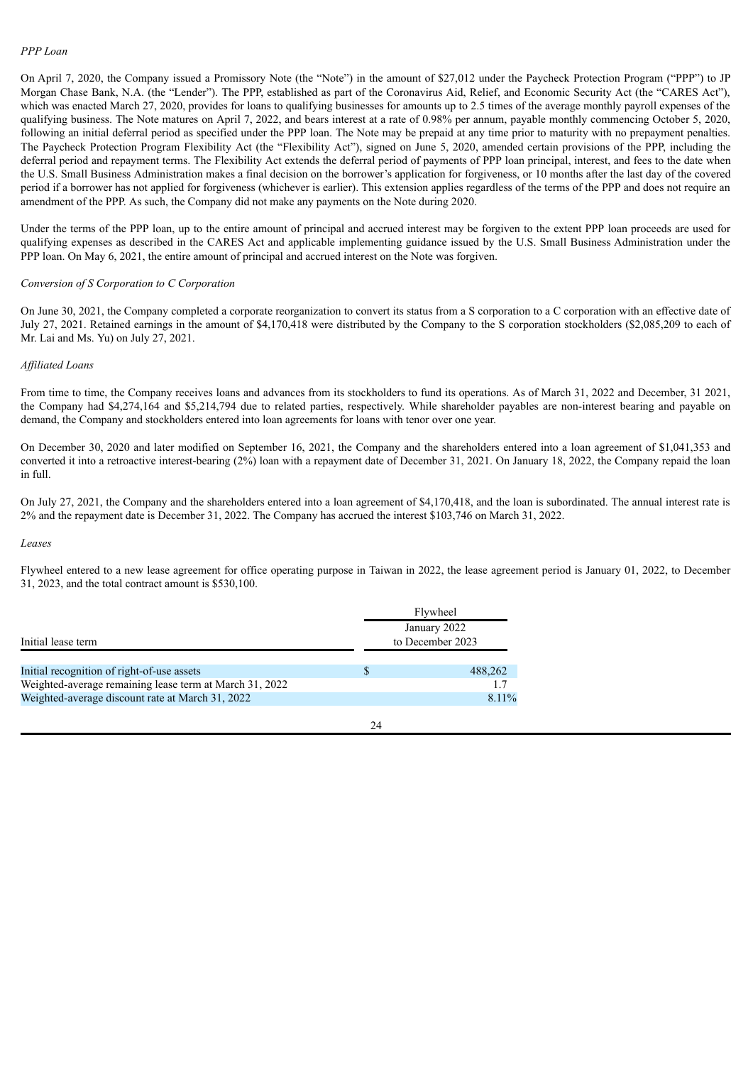On April 7, 2020, the Company issued a Promissory Note (the "Note") in the amount of \$27,012 under the Paycheck Protection Program ("PPP") to JP Morgan Chase Bank, N.A. (the "Lender"). The PPP, established as part of the Coronavirus Aid, Relief, and Economic Security Act (the "CARES Act"), which was enacted March 27, 2020, provides for loans to qualifying businesses for amounts up to 2.5 times of the average monthly payroll expenses of the qualifying business. The Note matures on April 7, 2022, and bears interest at a rate of 0.98% per annum, payable monthly commencing October 5, 2020, following an initial deferral period as specified under the PPP loan. The Note may be prepaid at any time prior to maturity with no prepayment penalties. The Paycheck Protection Program Flexibility Act (the "Flexibility Act"), signed on June 5, 2020, amended certain provisions of the PPP, including the deferral period and repayment terms. The Flexibility Act extends the deferral period of payments of PPP loan principal, interest, and fees to the date when the U.S. Small Business Administration makes a final decision on the borrower's application for forgiveness, or 10 months after the last day of the covered period if a borrower has not applied for forgiveness (whichever is earlier). This extension applies regardless of the terms of the PPP and does not require an amendment of the PPP. As such, the Company did not make any payments on the Note during 2020.

Under the terms of the PPP loan, up to the entire amount of principal and accrued interest may be forgiven to the extent PPP loan proceeds are used for qualifying expenses as described in the CARES Act and applicable implementing guidance issued by the U.S. Small Business Administration under the PPP loan. On May 6, 2021, the entire amount of principal and accrued interest on the Note was forgiven.

#### *Conversion of S Corporation to C Corporation*

On June 30, 2021, the Company completed a corporate reorganization to convert its status from a S corporation to a C corporation with an effective date of July 27, 2021. Retained earnings in the amount of \$4,170,418 were distributed by the Company to the S corporation stockholders (\$2,085,209 to each of Mr. Lai and Ms. Yu) on July 27, 2021.

#### *Af iliated Loans*

From time to time, the Company receives loans and advances from its stockholders to fund its operations. As of March 31, 2022 and December, 31 2021, the Company had \$4,274,164 and \$5,214,794 due to related parties, respectively. While shareholder payables are non-interest bearing and payable on demand, the Company and stockholders entered into loan agreements for loans with tenor over one year.

On December 30, 2020 and later modified on September 16, 2021, the Company and the shareholders entered into a loan agreement of \$1,041,353 and converted it into a retroactive interest-bearing (2%) loan with a repayment date of December 31, 2021. On January 18, 2022, the Company repaid the loan in full.

On July 27, 2021, the Company and the shareholders entered into a loan agreement of \$4,170,418, and the loan is subordinated. The annual interest rate is 2% and the repayment date is December 31, 2022. The Company has accrued the interest \$103,746 on March 31, 2022.

#### *Leases*

Flywheel entered to a new lease agreement for office operating purpose in Taiwan in 2022, the lease agreement period is January 01, 2022, to December 31, 2023, and the total contract amount is \$530,100.

| Initial lease term                                      | Flywheel<br>January 2022<br>to December 2023 |         |  |
|---------------------------------------------------------|----------------------------------------------|---------|--|
| Initial recognition of right-of-use assets              |                                              | 488,262 |  |
| Weighted-average remaining lease term at March 31, 2022 |                                              |         |  |
| Weighted-average discount rate at March 31, 2022        |                                              | 8.11%   |  |
|                                                         |                                              |         |  |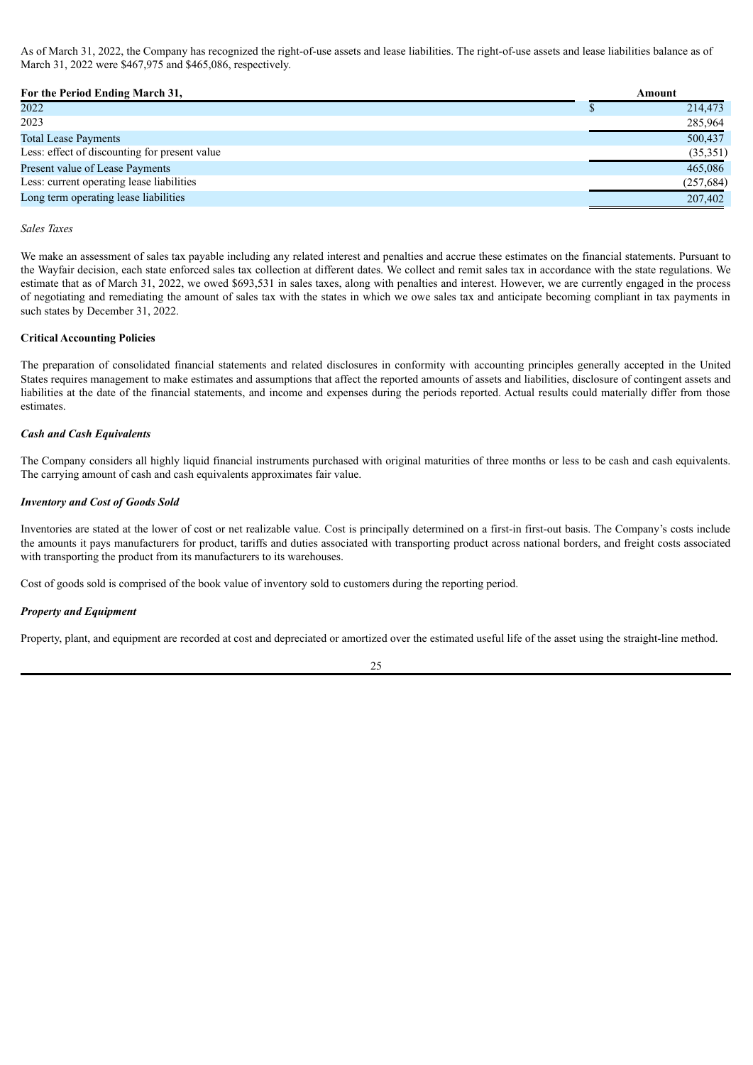As of March 31, 2022, the Company has recognized the right-of-use assets and lease liabilities. The right-of-use assets and lease liabilities balance as of March 31, 2022 were \$467,975 and \$465,086, respectively.

| For the Period Ending March 31,               | Amount |            |
|-----------------------------------------------|--------|------------|
| 2022                                          |        | 214,473    |
| 2023                                          |        | 285,964    |
| <b>Total Lease Payments</b>                   |        | 500,437    |
| Less: effect of discounting for present value |        | (35,351)   |
| Present value of Lease Payments               |        | 465,086    |
| Less: current operating lease liabilities     |        | (257, 684) |
| Long term operating lease liabilities         |        | 207,402    |

#### *Sales Taxes*

We make an assessment of sales tax payable including any related interest and penalties and accrue these estimates on the financial statements. Pursuant to the Wayfair decision, each state enforced sales tax collection at different dates. We collect and remit sales tax in accordance with the state regulations. We estimate that as of March 31, 2022, we owed \$693,531 in sales taxes, along with penalties and interest. However, we are currently engaged in the process of negotiating and remediating the amount of sales tax with the states in which we owe sales tax and anticipate becoming compliant in tax payments in such states by December 31, 2022.

#### **Critical Accounting Policies**

The preparation of consolidated financial statements and related disclosures in conformity with accounting principles generally accepted in the United States requires management to make estimates and assumptions that affect the reported amounts of assets and liabilities, disclosure of contingent assets and liabilities at the date of the financial statements, and income and expenses during the periods reported. Actual results could materially differ from those estimates.

#### *Cash and Cash Equivalents*

The Company considers all highly liquid financial instruments purchased with original maturities of three months or less to be cash and cash equivalents. The carrying amount of cash and cash equivalents approximates fair value.

## *Inventory and Cost of Goods Sold*

Inventories are stated at the lower of cost or net realizable value. Cost is principally determined on a first-in first-out basis. The Company's costs include the amounts it pays manufacturers for product, tariffs and duties associated with transporting product across national borders, and freight costs associated with transporting the product from its manufacturers to its warehouses.

Cost of goods sold is comprised of the book value of inventory sold to customers during the reporting period.

## *Property and Equipment*

Property, plant, and equipment are recorded at cost and depreciated or amortized over the estimated useful life of the asset using the straight-line method.

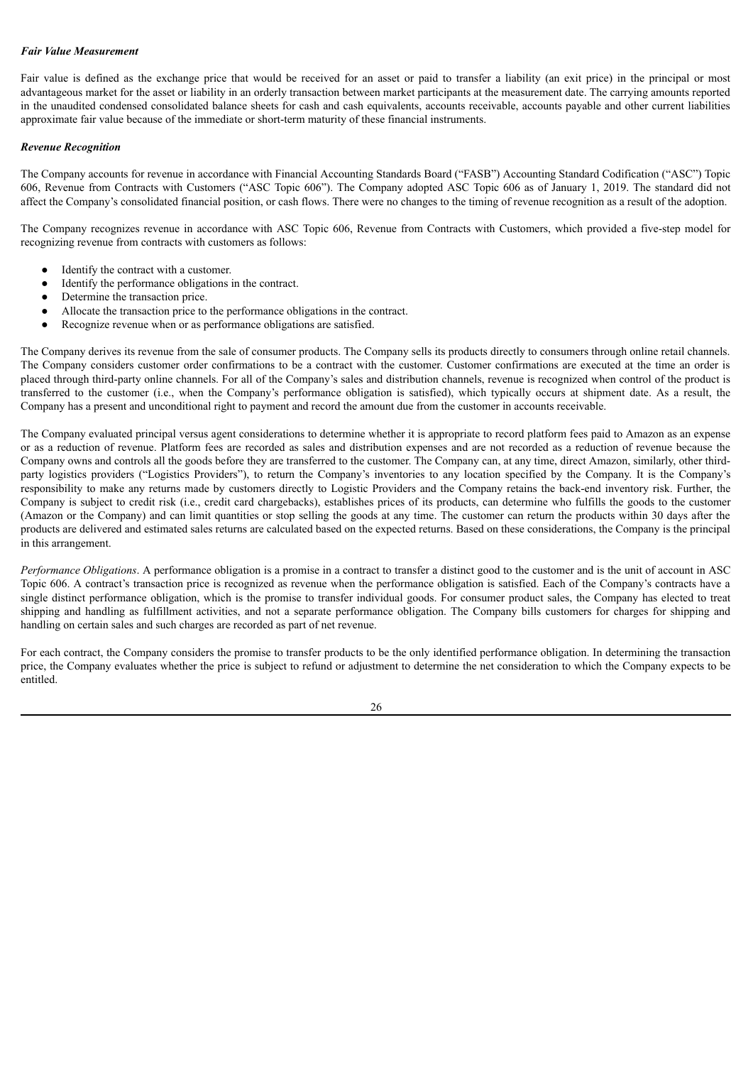## *Fair Value Measurement*

Fair value is defined as the exchange price that would be received for an asset or paid to transfer a liability (an exit price) in the principal or most advantageous market for the asset or liability in an orderly transaction between market participants at the measurement date. The carrying amounts reported in the unaudited condensed consolidated balance sheets for cash and cash equivalents, accounts receivable, accounts payable and other current liabilities approximate fair value because of the immediate or short-term maturity of these financial instruments.

## *Revenue Recognition*

The Company accounts for revenue in accordance with Financial Accounting Standards Board ("FASB") Accounting Standard Codification ("ASC") Topic 606, Revenue from Contracts with Customers ("ASC Topic 606"). The Company adopted ASC Topic 606 as of January 1, 2019. The standard did not affect the Company's consolidated financial position, or cash flows. There were no changes to the timing of revenue recognition as a result of the adoption.

The Company recognizes revenue in accordance with ASC Topic 606, Revenue from Contracts with Customers, which provided a five-step model for recognizing revenue from contracts with customers as follows:

- Identify the contract with a customer.
- Identify the performance obligations in the contract.
- Determine the transaction price.
- Allocate the transaction price to the performance obligations in the contract.
- Recognize revenue when or as performance obligations are satisfied.

The Company derives its revenue from the sale of consumer products. The Company sells its products directly to consumers through online retail channels. The Company considers customer order confirmations to be a contract with the customer. Customer confirmations are executed at the time an order is placed through third-party online channels. For all of the Company's sales and distribution channels, revenue is recognized when control of the product is transferred to the customer (i.e., when the Company's performance obligation is satisfied), which typically occurs at shipment date. As a result, the Company has a present and unconditional right to payment and record the amount due from the customer in accounts receivable.

The Company evaluated principal versus agent considerations to determine whether it is appropriate to record platform fees paid to Amazon as an expense or as a reduction of revenue. Platform fees are recorded as sales and distribution expenses and are not recorded as a reduction of revenue because the Company owns and controls all the goods before they are transferred to the customer. The Company can, at any time, direct Amazon, similarly, other thirdparty logistics providers ("Logistics Providers"), to return the Company's inventories to any location specified by the Company. It is the Company's responsibility to make any returns made by customers directly to Logistic Providers and the Company retains the back-end inventory risk. Further, the Company is subject to credit risk (i.e., credit card chargebacks), establishes prices of its products, can determine who fulfills the goods to the customer (Amazon or the Company) and can limit quantities or stop selling the goods at any time. The customer can return the products within 30 days after the products are delivered and estimated sales returns are calculated based on the expected returns. Based on these considerations, the Company is the principal in this arrangement.

*Performance Obligations*. A performance obligation is a promise in a contract to transfer a distinct good to the customer and is the unit of account in ASC Topic 606. A contract's transaction price is recognized as revenue when the performance obligation is satisfied. Each of the Company's contracts have a single distinct performance obligation, which is the promise to transfer individual goods. For consumer product sales, the Company has elected to treat shipping and handling as fulfillment activities, and not a separate performance obligation. The Company bills customers for charges for shipping and handling on certain sales and such charges are recorded as part of net revenue.

For each contract, the Company considers the promise to transfer products to be the only identified performance obligation. In determining the transaction price, the Company evaluates whether the price is subject to refund or adjustment to determine the net consideration to which the Company expects to be entitled.

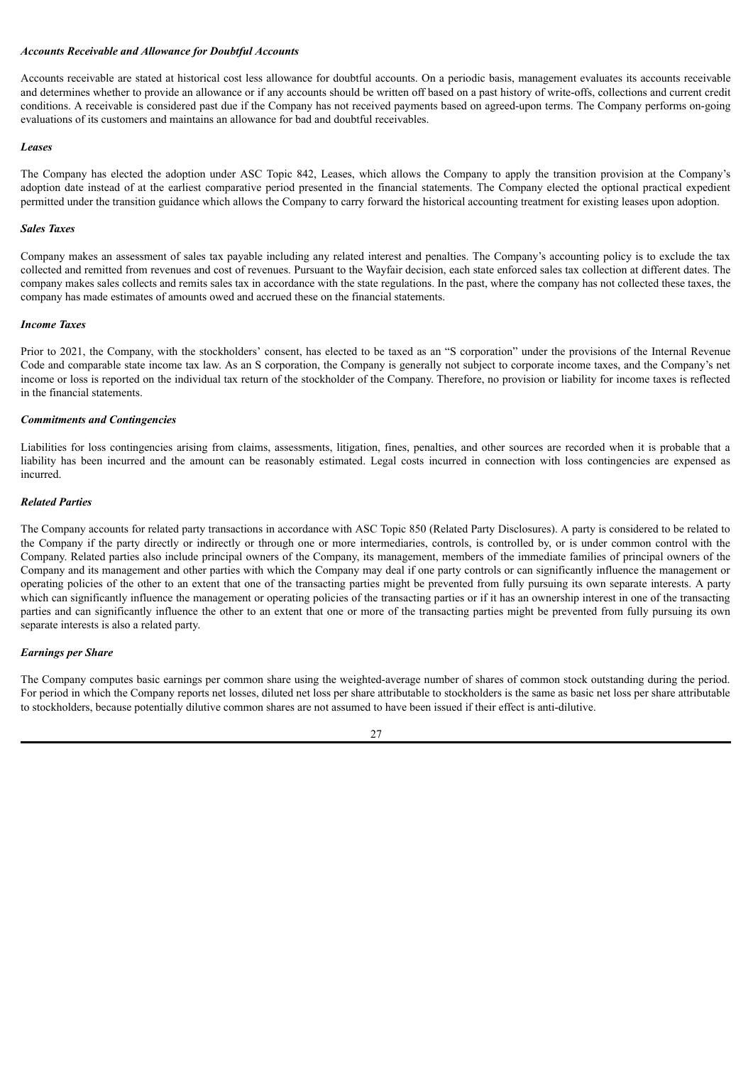## *Accounts Receivable and Allowance for Doubtful Accounts*

Accounts receivable are stated at historical cost less allowance for doubtful accounts. On a periodic basis, management evaluates its accounts receivable and determines whether to provide an allowance or if any accounts should be written off based on a past history of write-offs, collections and current credit conditions. A receivable is considered past due if the Company has not received payments based on agreed-upon terms. The Company performs on-going evaluations of its customers and maintains an allowance for bad and doubtful receivables.

#### *Leases*

The Company has elected the adoption under ASC Topic 842, Leases, which allows the Company to apply the transition provision at the Company's adoption date instead of at the earliest comparative period presented in the financial statements. The Company elected the optional practical expedient permitted under the transition guidance which allows the Company to carry forward the historical accounting treatment for existing leases upon adoption.

#### *Sales Taxes*

Company makes an assessment of sales tax payable including any related interest and penalties. The Company's accounting policy is to exclude the tax collected and remitted from revenues and cost of revenues. Pursuant to the Wayfair decision, each state enforced sales tax collection at different dates. The company makes sales collects and remits sales tax in accordance with the state regulations. In the past, where the company has not collected these taxes, the company has made estimates of amounts owed and accrued these on the financial statements.

#### *Income Taxes*

Prior to 2021, the Company, with the stockholders' consent, has elected to be taxed as an "S corporation" under the provisions of the Internal Revenue Code and comparable state income tax law. As an S corporation, the Company is generally not subject to corporate income taxes, and the Company's net income or loss is reported on the individual tax return of the stockholder of the Company. Therefore, no provision or liability for income taxes is reflected in the financial statements.

## *Commitments and Contingencies*

Liabilities for loss contingencies arising from claims, assessments, litigation, fines, penalties, and other sources are recorded when it is probable that a liability has been incurred and the amount can be reasonably estimated. Legal costs incurred in connection with loss contingencies are expensed as incurred.

#### *Related Parties*

The Company accounts for related party transactions in accordance with ASC Topic 850 (Related Party Disclosures). A party is considered to be related to the Company if the party directly or indirectly or through one or more intermediaries, controls, is controlled by, or is under common control with the Company. Related parties also include principal owners of the Company, its management, members of the immediate families of principal owners of the Company and its management and other parties with which the Company may deal if one party controls or can significantly influence the management or operating policies of the other to an extent that one of the transacting parties might be prevented from fully pursuing its own separate interests. A party which can significantly influence the management or operating policies of the transacting parties or if it has an ownership interest in one of the transacting parties and can significantly influence the other to an extent that one or more of the transacting parties might be prevented from fully pursuing its own separate interests is also a related party.

## *Earnings per Share*

The Company computes basic earnings per common share using the weighted-average number of shares of common stock outstanding during the period. For period in which the Company reports net losses, diluted net loss per share attributable to stockholders is the same as basic net loss per share attributable to stockholders, because potentially dilutive common shares are not assumed to have been issued if their effect is anti-dilutive.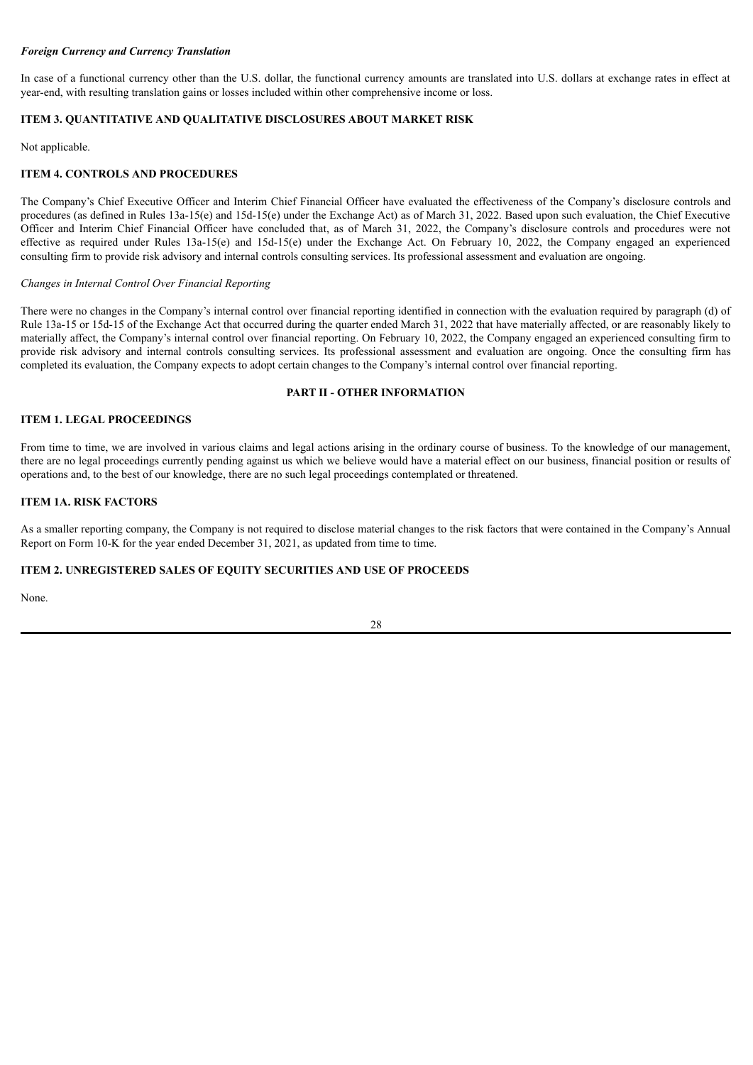## *Foreign Currency and Currency Translation*

In case of a functional currency other than the U.S. dollar, the functional currency amounts are translated into U.S. dollars at exchange rates in effect at year-end, with resulting translation gains or losses included within other comprehensive income or loss.

## <span id="page-28-0"></span>**ITEM 3. QUANTITATIVE AND QUALITATIVE DISCLOSURES ABOUT MARKET RISK**

Not applicable.

## <span id="page-28-1"></span>**ITEM 4. CONTROLS AND PROCEDURES**

The Company's Chief Executive Officer and Interim Chief Financial Officer have evaluated the effectiveness of the Company's disclosure controls and procedures (as defined in Rules 13a-15(e) and 15d-15(e) under the Exchange Act) as of March 31, 2022. Based upon such evaluation, the Chief Executive Officer and Interim Chief Financial Officer have concluded that, as of March 31, 2022, the Company's disclosure controls and procedures were not effective as required under Rules 13a-15(e) and 15d-15(e) under the Exchange Act. On February 10, 2022, the Company engaged an experienced consulting firm to provide risk advisory and internal controls consulting services. Its professional assessment and evaluation are ongoing.

## *Changes in Internal Control Over Financial Reporting*

There were no changes in the Company's internal control over financial reporting identified in connection with the evaluation required by paragraph (d) of Rule 13a-15 or 15d-15 of the Exchange Act that occurred during the quarter ended March 31, 2022 that have materially affected, or are reasonably likely to materially affect, the Company's internal control over financial reporting. On February 10, 2022, the Company engaged an experienced consulting firm to provide risk advisory and internal controls consulting services. Its professional assessment and evaluation are ongoing. Once the consulting firm has completed its evaluation, the Company expects to adopt certain changes to the Company's internal control over financial reporting.

#### **PART II - OTHER INFORMATION**

## <span id="page-28-3"></span><span id="page-28-2"></span>**ITEM 1. LEGAL PROCEEDINGS**

From time to time, we are involved in various claims and legal actions arising in the ordinary course of business. To the knowledge of our management, there are no legal proceedings currently pending against us which we believe would have a material effect on our business, financial position or results of operations and, to the best of our knowledge, there are no such legal proceedings contemplated or threatened.

## <span id="page-28-4"></span>**ITEM 1A. RISK FACTORS**

As a smaller reporting company, the Company is not required to disclose material changes to the risk factors that were contained in the Company's Annual Report on Form 10-K for the year ended December 31, 2021, as updated from time to time.

## <span id="page-28-5"></span>**ITEM 2. UNREGISTERED SALES OF EQUITY SECURITIES AND USE OF PROCEEDS**

None.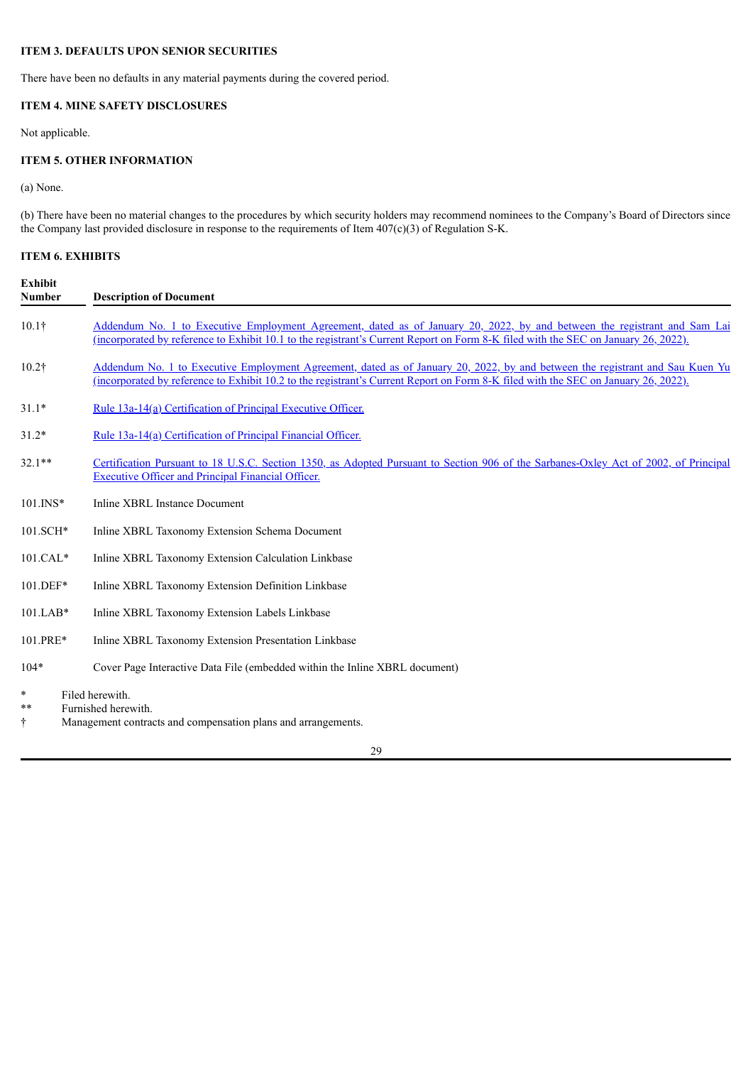# <span id="page-29-0"></span>**ITEM 3. DEFAULTS UPON SENIOR SECURITIES**

There have been no defaults in any material payments during the covered period.

# <span id="page-29-1"></span>**ITEM 4. MINE SAFETY DISCLOSURES**

Not applicable.

# <span id="page-29-2"></span>**ITEM 5. OTHER INFORMATION**

(a) None.

(b) There have been no material changes to the procedures by which security holders may recommend nominees to the Company's Board of Directors since the Company last provided disclosure in response to the requirements of Item 407(c)(3) of Regulation S-K.

# <span id="page-29-3"></span>**ITEM 6. EXHIBITS**

| <b>Exhibit</b><br><b>Number</b>                           |  | <b>Description of Document</b>                                                                                                                                                                                                                                      |
|-----------------------------------------------------------|--|---------------------------------------------------------------------------------------------------------------------------------------------------------------------------------------------------------------------------------------------------------------------|
| 10.1 <sup>†</sup>                                         |  | Addendum No. 1 to Executive Employment Agreement, dated as of January 20, 2022, by and between the registrant and Sam Lai<br>(incorporated by reference to Exhibit 10.1 to the registrant's Current Report on Form 8-K filed with the SEC on January 26, 2022).     |
| $10.2\dagger$                                             |  | Addendum No. 1 to Executive Employment Agreement, dated as of January 20, 2022, by and between the registrant and Sau Kuen Yu<br>(incorporated by reference to Exhibit 10.2 to the registrant's Current Report on Form 8-K filed with the SEC on January 26, 2022). |
| $31.1*$                                                   |  | Rule 13a-14(a) Certification of Principal Executive Officer.                                                                                                                                                                                                        |
| $31.2*$                                                   |  | Rule 13a-14(a) Certification of Principal Financial Officer.                                                                                                                                                                                                        |
| $32.1**$                                                  |  | Certification Pursuant to 18 U.S.C. Section 1350, as Adopted Pursuant to Section 906 of the Sarbanes-Oxley Act of 2002, of Principal<br><b>Executive Officer and Principal Financial Officer.</b>                                                                   |
| $101$ . INS*                                              |  | Inline XBRL Instance Document                                                                                                                                                                                                                                       |
| 101.SCH*                                                  |  | Inline XBRL Taxonomy Extension Schema Document                                                                                                                                                                                                                      |
| 101.CAL*                                                  |  | Inline XBRL Taxonomy Extension Calculation Linkbase                                                                                                                                                                                                                 |
| 101.DEF*                                                  |  | Inline XBRL Taxonomy Extension Definition Linkbase                                                                                                                                                                                                                  |
| $101.LAB*$                                                |  | Inline XBRL Taxonomy Extension Labels Linkbase                                                                                                                                                                                                                      |
| 101.PRE*                                                  |  | Inline XBRL Taxonomy Extension Presentation Linkbase                                                                                                                                                                                                                |
| $104*$                                                    |  | Cover Page Interactive Data File (embedded within the Inline XBRL document)                                                                                                                                                                                         |
| Filed herewith.<br>$\ast$<br>Furnished herewith.<br>$* *$ |  |                                                                                                                                                                                                                                                                     |

† Management contracts and compensation plans and arrangements.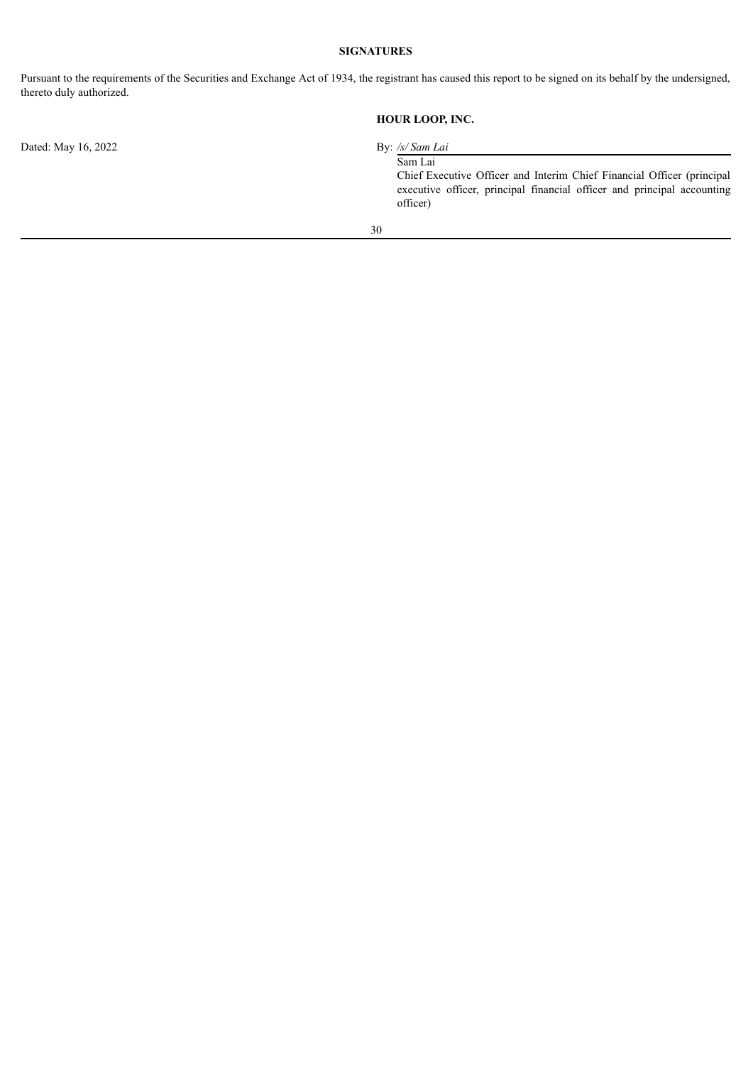# **SIGNATURES**

<span id="page-30-0"></span>Pursuant to the requirements of the Securities and Exchange Act of 1934, the registrant has caused this report to be signed on its behalf by the undersigned, thereto duly authorized.

# **HOUR LOOP, INC.**

Dated: May 16, 2022 By: */s/ Sam Lai*

Sam Lai Chief Executive Officer and Interim Chief Financial Officer (principal executive officer, principal financial officer and principal accounting officer)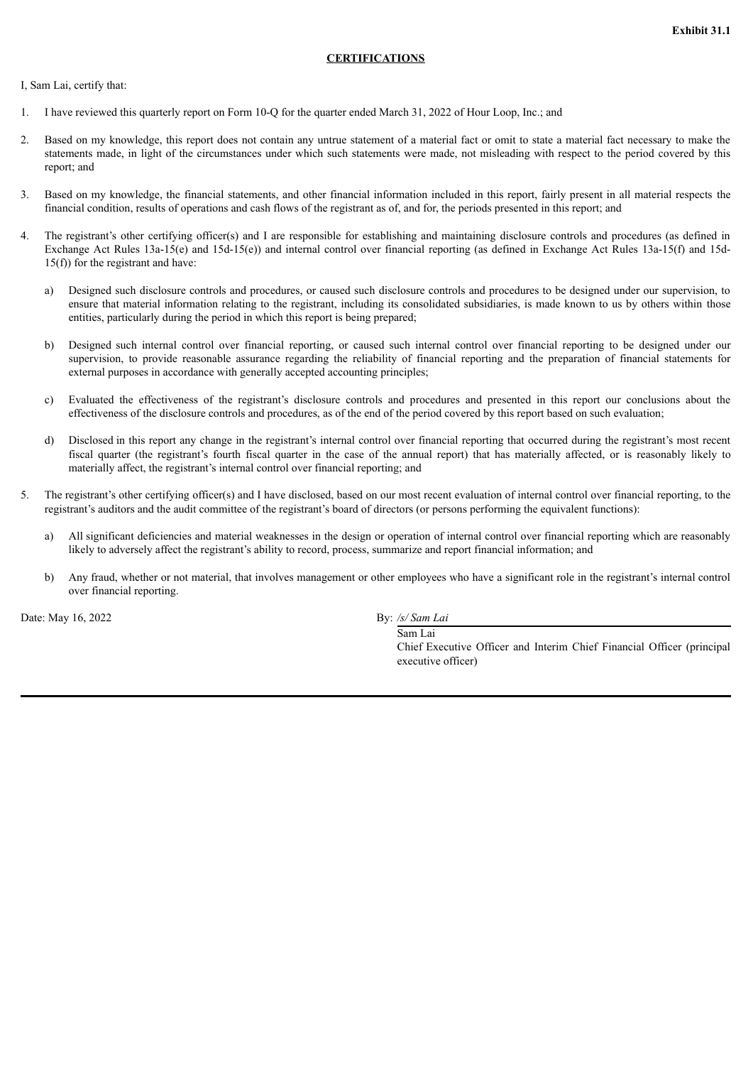### **CERTIFICATIONS**

<span id="page-31-0"></span>I, Sam Lai, certify that:

- 1. I have reviewed this quarterly report on Form 10-Q for the quarter ended March 31, 2022 of Hour Loop, Inc.; and
- 2. Based on my knowledge, this report does not contain any untrue statement of a material fact or omit to state a material fact necessary to make the statements made, in light of the circumstances under which such statements were made, not misleading with respect to the period covered by this report; and
- 3. Based on my knowledge, the financial statements, and other financial information included in this report, fairly present in all material respects the financial condition, results of operations and cash flows of the registrant as of, and for, the periods presented in this report; and
- 4. The registrant's other certifying officer(s) and I are responsible for establishing and maintaining disclosure controls and procedures (as defined in Exchange Act Rules 13a-15(e) and 15d-15(e)) and internal control over financial reporting (as defined in Exchange Act Rules 13a-15(f) and 15d-15(f)) for the registrant and have:
	- a) Designed such disclosure controls and procedures, or caused such disclosure controls and procedures to be designed under our supervision, to ensure that material information relating to the registrant, including its consolidated subsidiaries, is made known to us by others within those entities, particularly during the period in which this report is being prepared;
	- b) Designed such internal control over financial reporting, or caused such internal control over financial reporting to be designed under our supervision, to provide reasonable assurance regarding the reliability of financial reporting and the preparation of financial statements for external purposes in accordance with generally accepted accounting principles;
	- c) Evaluated the effectiveness of the registrant's disclosure controls and procedures and presented in this report our conclusions about the effectiveness of the disclosure controls and procedures, as of the end of the period covered by this report based on such evaluation;
	- d) Disclosed in this report any change in the registrant's internal control over financial reporting that occurred during the registrant's most recent fiscal quarter (the registrant's fourth fiscal quarter in the case of the annual report) that has materially affected, or is reasonably likely to materially affect, the registrant's internal control over financial reporting; and
- 5. The registrant's other certifying officer(s) and I have disclosed, based on our most recent evaluation of internal control over financial reporting, to the registrant's auditors and the audit committee of the registrant's board of directors (or persons performing the equivalent functions):
	- a) All significant deficiencies and material weaknesses in the design or operation of internal control over financial reporting which are reasonably likely to adversely affect the registrant's ability to record, process, summarize and report financial information; and
	- b) Any fraud, whether or not material, that involves management or other employees who have a significant role in the registrant's internal control over financial reporting.

Date: May 16, 2022 By: */s/ Sam Lai*

Sam Lai

Chief Executive Officer and Interim Chief Financial Officer (principal executive officer)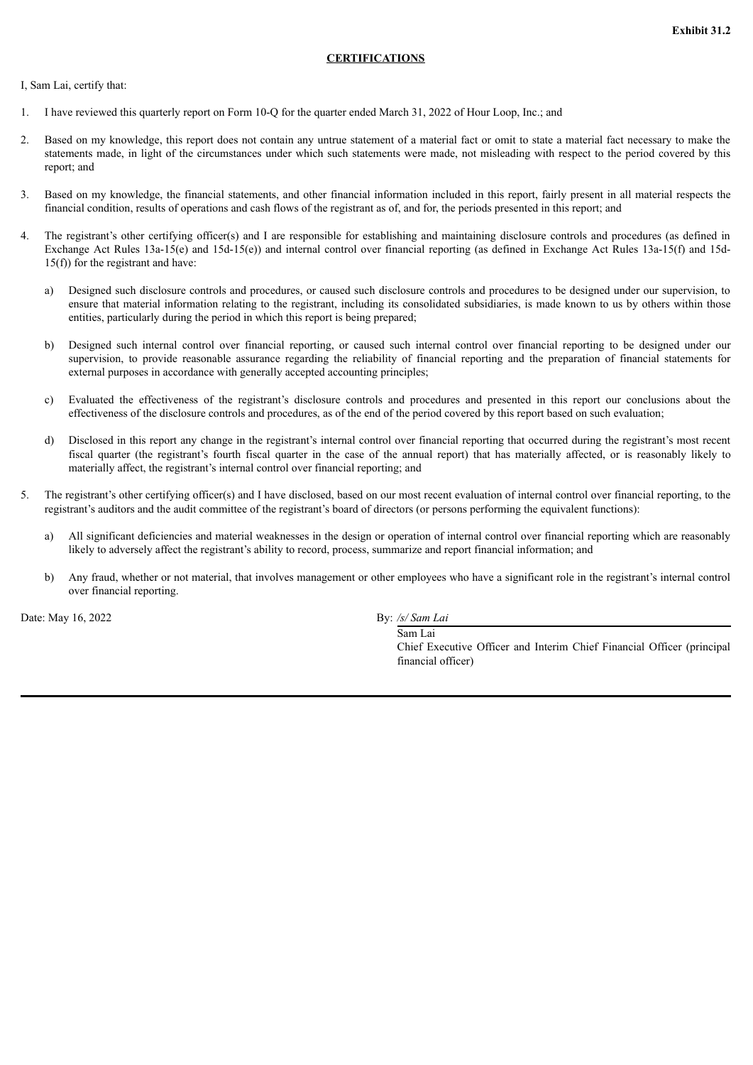### **CERTIFICATIONS**

<span id="page-32-0"></span>I, Sam Lai, certify that:

- 1. I have reviewed this quarterly report on Form 10-Q for the quarter ended March 31, 2022 of Hour Loop, Inc.; and
- 2. Based on my knowledge, this report does not contain any untrue statement of a material fact or omit to state a material fact necessary to make the statements made, in light of the circumstances under which such statements were made, not misleading with respect to the period covered by this report; and
- 3. Based on my knowledge, the financial statements, and other financial information included in this report, fairly present in all material respects the financial condition, results of operations and cash flows of the registrant as of, and for, the periods presented in this report; and
- 4. The registrant's other certifying officer(s) and I are responsible for establishing and maintaining disclosure controls and procedures (as defined in Exchange Act Rules 13a-15(e) and 15d-15(e)) and internal control over financial reporting (as defined in Exchange Act Rules 13a-15(f) and 15d-15(f)) for the registrant and have:
	- a) Designed such disclosure controls and procedures, or caused such disclosure controls and procedures to be designed under our supervision, to ensure that material information relating to the registrant, including its consolidated subsidiaries, is made known to us by others within those entities, particularly during the period in which this report is being prepared;
	- b) Designed such internal control over financial reporting, or caused such internal control over financial reporting to be designed under our supervision, to provide reasonable assurance regarding the reliability of financial reporting and the preparation of financial statements for external purposes in accordance with generally accepted accounting principles;
	- c) Evaluated the effectiveness of the registrant's disclosure controls and procedures and presented in this report our conclusions about the effectiveness of the disclosure controls and procedures, as of the end of the period covered by this report based on such evaluation;
	- d) Disclosed in this report any change in the registrant's internal control over financial reporting that occurred during the registrant's most recent fiscal quarter (the registrant's fourth fiscal quarter in the case of the annual report) that has materially affected, or is reasonably likely to materially affect, the registrant's internal control over financial reporting; and
- 5. The registrant's other certifying officer(s) and I have disclosed, based on our most recent evaluation of internal control over financial reporting, to the registrant's auditors and the audit committee of the registrant's board of directors (or persons performing the equivalent functions):
	- a) All significant deficiencies and material weaknesses in the design or operation of internal control over financial reporting which are reasonably likely to adversely affect the registrant's ability to record, process, summarize and report financial information; and
	- b) Any fraud, whether or not material, that involves management or other employees who have a significant role in the registrant's internal control over financial reporting.

Date: May 16, 2022 By: */s/ Sam Lai*

Sam Lai

Chief Executive Officer and Interim Chief Financial Officer (principal financial officer)